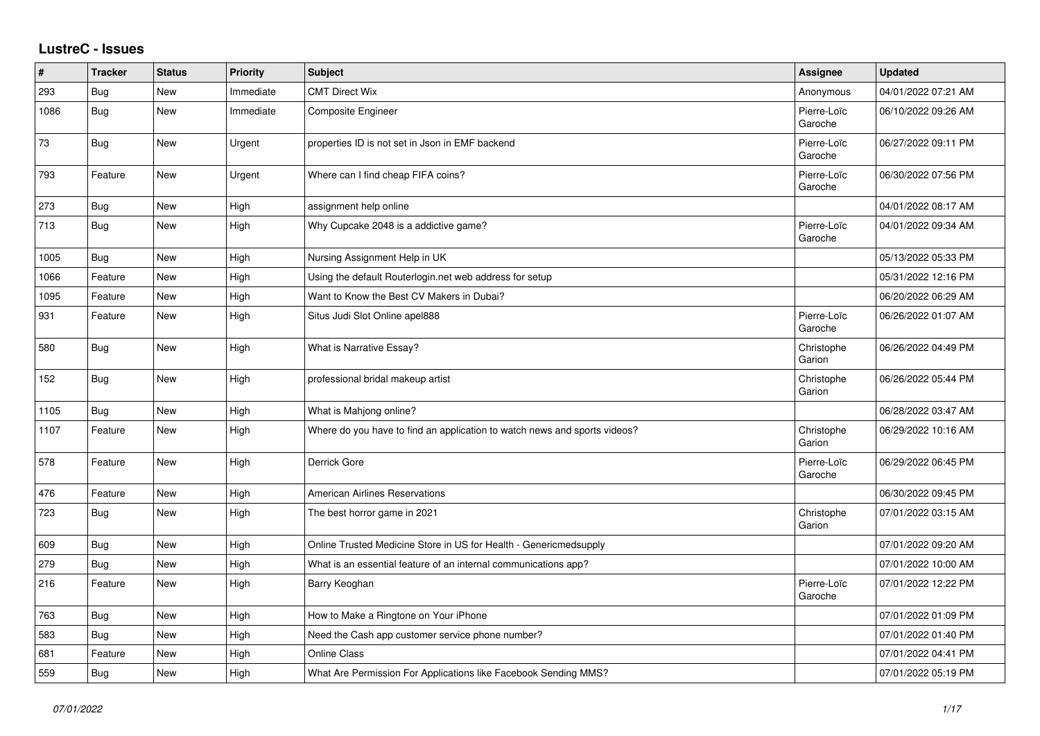## **LustreC - Issues**

| ∦    | <b>Tracker</b> | <b>Status</b> | <b>Priority</b> | <b>Subject</b>                                                            | <b>Assignee</b>        | <b>Updated</b>      |
|------|----------------|---------------|-----------------|---------------------------------------------------------------------------|------------------------|---------------------|
| 293  | <b>Bug</b>     | New           | Immediate       | <b>CMT Direct Wix</b>                                                     | Anonymous              | 04/01/2022 07:21 AM |
| 1086 | <b>Bug</b>     | <b>New</b>    | Immediate       | <b>Composite Engineer</b>                                                 | Pierre-Loïc<br>Garoche | 06/10/2022 09:26 AM |
| 73   | <b>Bug</b>     | New           | Urgent          | properties ID is not set in Json in EMF backend                           | Pierre-Loïc<br>Garoche | 06/27/2022 09:11 PM |
| 793  | Feature        | New           | Urgent          | Where can I find cheap FIFA coins?                                        | Pierre-Loïc<br>Garoche | 06/30/2022 07:56 PM |
| 273  | <b>Bug</b>     | New           | High            | assignment help online                                                    |                        | 04/01/2022 08:17 AM |
| 713  | Bug            | <b>New</b>    | High            | Why Cupcake 2048 is a addictive game?                                     | Pierre-Loïc<br>Garoche | 04/01/2022 09:34 AM |
| 1005 | <b>Bug</b>     | New           | High            | Nursing Assignment Help in UK                                             |                        | 05/13/2022 05:33 PM |
| 1066 | Feature        | New           | High            | Using the default Routerlogin.net web address for setup                   |                        | 05/31/2022 12:16 PM |
| 1095 | Feature        | <b>New</b>    | High            | Want to Know the Best CV Makers in Dubai?                                 |                        | 06/20/2022 06:29 AM |
| 931  | Feature        | New           | High            | Situs Judi Slot Online apel888                                            | Pierre-Loïc<br>Garoche | 06/26/2022 01:07 AM |
| 580  | <b>Bug</b>     | New           | High            | What is Narrative Essay?                                                  | Christophe<br>Garion   | 06/26/2022 04:49 PM |
| 152  | Bug            | <b>New</b>    | High            | professional bridal makeup artist                                         | Christophe<br>Garion   | 06/26/2022 05:44 PM |
| 1105 | <b>Bug</b>     | New           | High            | What is Mahjong online?                                                   |                        | 06/28/2022 03:47 AM |
| 1107 | Feature        | New           | High            | Where do you have to find an application to watch news and sports videos? | Christophe<br>Garion   | 06/29/2022 10:16 AM |
| 578  | Feature        | <b>New</b>    | High            | Derrick Gore                                                              | Pierre-Loïc<br>Garoche | 06/29/2022 06:45 PM |
| 476  | Feature        | New           | High            | <b>American Airlines Reservations</b>                                     |                        | 06/30/2022 09:45 PM |
| 723  | <b>Bug</b>     | New           | High            | The best horror game in 2021                                              | Christophe<br>Garion   | 07/01/2022 03:15 AM |
| 609  | <b>Bug</b>     | New           | High            | Online Trusted Medicine Store in US for Health - Genericmedsupply         |                        | 07/01/2022 09:20 AM |
| 279  | Bug            | New           | High            | What is an essential feature of an internal communications app?           |                        | 07/01/2022 10:00 AM |
| 216  | Feature        | New           | High            | Barry Keoghan                                                             | Pierre-Loïc<br>Garoche | 07/01/2022 12:22 PM |
| 763  | <b>Bug</b>     | New           | High            | How to Make a Ringtone on Your iPhone                                     |                        | 07/01/2022 01:09 PM |
| 583  | Bug            | New           | High            | Need the Cash app customer service phone number?                          |                        | 07/01/2022 01:40 PM |
| 681  | Feature        | New           | High            | <b>Online Class</b>                                                       |                        | 07/01/2022 04:41 PM |
| 559  | <b>Bug</b>     | New           | High            | What Are Permission For Applications like Facebook Sending MMS?           |                        | 07/01/2022 05:19 PM |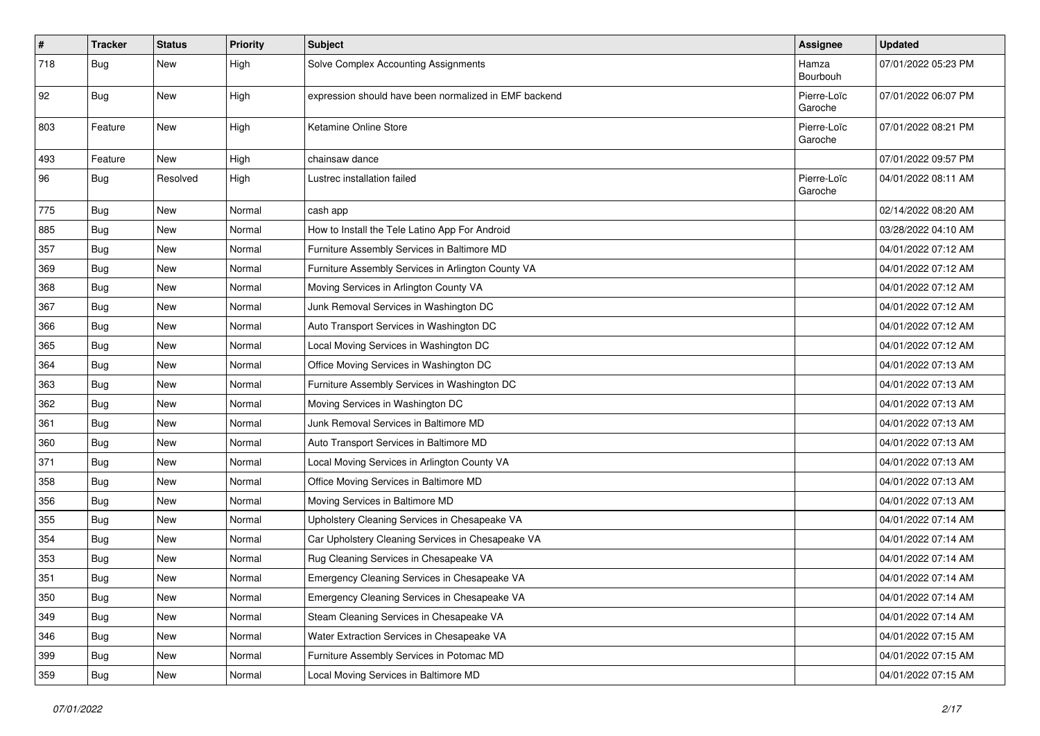| $\vert$ # | <b>Tracker</b> | <b>Status</b> | <b>Priority</b> | <b>Subject</b>                                        | <b>Assignee</b>        | <b>Updated</b>      |
|-----------|----------------|---------------|-----------------|-------------------------------------------------------|------------------------|---------------------|
| 718       | <b>Bug</b>     | New           | High            | Solve Complex Accounting Assignments                  | Hamza<br>Bourbouh      | 07/01/2022 05:23 PM |
| 92        | <b>Bug</b>     | New           | High            | expression should have been normalized in EMF backend | Pierre-Loïc<br>Garoche | 07/01/2022 06:07 PM |
| 803       | Feature        | New           | High            | Ketamine Online Store                                 | Pierre-Loïc<br>Garoche | 07/01/2022 08:21 PM |
| 493       | Feature        | New           | High            | chainsaw dance                                        |                        | 07/01/2022 09:57 PM |
| 96        | <b>Bug</b>     | Resolved      | High            | Lustrec installation failed                           | Pierre-Loïc<br>Garoche | 04/01/2022 08:11 AM |
| 775       | Bug            | New           | Normal          | cash app                                              |                        | 02/14/2022 08:20 AM |
| 885       | <b>Bug</b>     | New           | Normal          | How to Install the Tele Latino App For Android        |                        | 03/28/2022 04:10 AM |
| 357       | Bug            | New           | Normal          | Furniture Assembly Services in Baltimore MD           |                        | 04/01/2022 07:12 AM |
| 369       | Bug            | New           | Normal          | Furniture Assembly Services in Arlington County VA    |                        | 04/01/2022 07:12 AM |
| 368       | <b>Bug</b>     | New           | Normal          | Moving Services in Arlington County VA                |                        | 04/01/2022 07:12 AM |
| 367       | Bug            | New           | Normal          | Junk Removal Services in Washington DC                |                        | 04/01/2022 07:12 AM |
| 366       | Bug            | New           | Normal          | Auto Transport Services in Washington DC              |                        | 04/01/2022 07:12 AM |
| 365       | <b>Bug</b>     | New           | Normal          | Local Moving Services in Washington DC                |                        | 04/01/2022 07:12 AM |
| 364       | Bug            | New           | Normal          | Office Moving Services in Washington DC               |                        | 04/01/2022 07:13 AM |
| 363       | Bug            | New           | Normal          | Furniture Assembly Services in Washington DC          |                        | 04/01/2022 07:13 AM |
| 362       | <b>Bug</b>     | New           | Normal          | Moving Services in Washington DC                      |                        | 04/01/2022 07:13 AM |
| 361       | <b>Bug</b>     | New           | Normal          | Junk Removal Services in Baltimore MD                 |                        | 04/01/2022 07:13 AM |
| 360       | <b>Bug</b>     | New           | Normal          | Auto Transport Services in Baltimore MD               |                        | 04/01/2022 07:13 AM |
| 371       | Bug            | New           | Normal          | Local Moving Services in Arlington County VA          |                        | 04/01/2022 07:13 AM |
| 358       | <b>Bug</b>     | New           | Normal          | Office Moving Services in Baltimore MD                |                        | 04/01/2022 07:13 AM |
| 356       | Bug            | New           | Normal          | Moving Services in Baltimore MD                       |                        | 04/01/2022 07:13 AM |
| 355       | Bug            | New           | Normal          | Upholstery Cleaning Services in Chesapeake VA         |                        | 04/01/2022 07:14 AM |
| 354       | <b>Bug</b>     | New           | Normal          | Car Upholstery Cleaning Services in Chesapeake VA     |                        | 04/01/2022 07:14 AM |
| 353       | Bug            | New           | Normal          | Rug Cleaning Services in Chesapeake VA                |                        | 04/01/2022 07:14 AM |
| 351       | <b>Bug</b>     | New           | Normal          | Emergency Cleaning Services in Chesapeake VA          |                        | 04/01/2022 07:14 AM |
| 350       | <b>Bug</b>     | New           | Normal          | Emergency Cleaning Services in Chesapeake VA          |                        | 04/01/2022 07:14 AM |
| 349       | Bug            | New           | Normal          | Steam Cleaning Services in Chesapeake VA              |                        | 04/01/2022 07:14 AM |
| 346       | <b>Bug</b>     | New           | Normal          | Water Extraction Services in Chesapeake VA            |                        | 04/01/2022 07:15 AM |
| 399       | <b>Bug</b>     | New           | Normal          | Furniture Assembly Services in Potomac MD             |                        | 04/01/2022 07:15 AM |
| 359       | <b>Bug</b>     | New           | Normal          | Local Moving Services in Baltimore MD                 |                        | 04/01/2022 07:15 AM |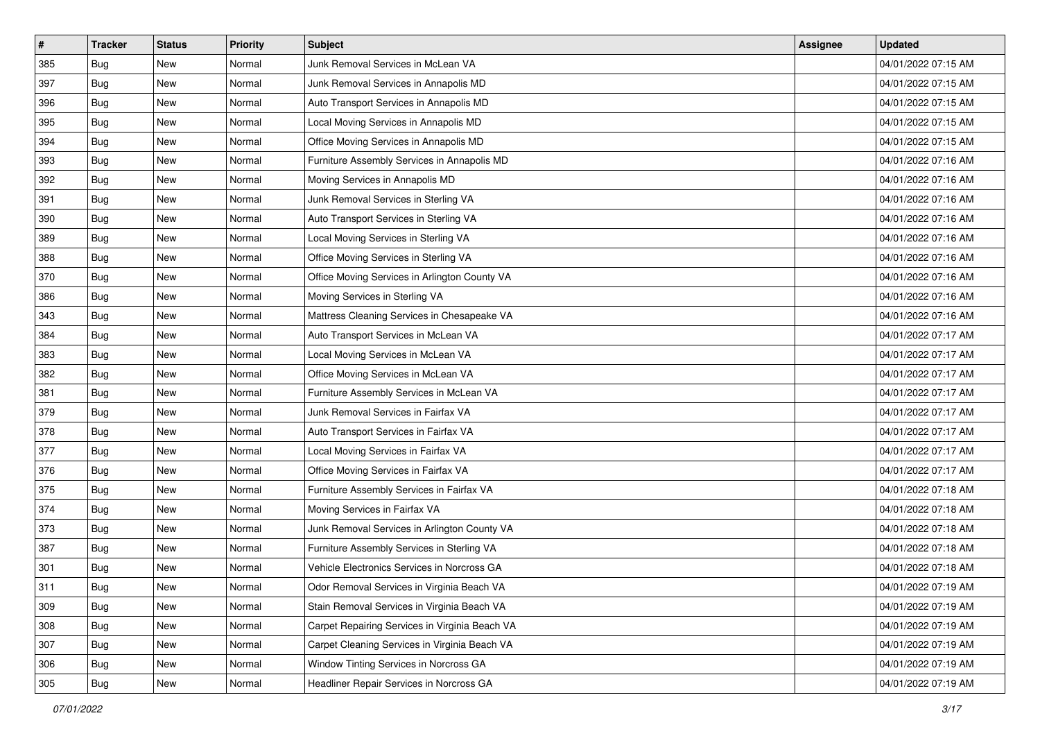| $\pmb{\#}$ | <b>Tracker</b> | <b>Status</b> | <b>Priority</b> | Subject                                        | <b>Assignee</b> | <b>Updated</b>      |
|------------|----------------|---------------|-----------------|------------------------------------------------|-----------------|---------------------|
| 385        | Bug            | New           | Normal          | Junk Removal Services in McLean VA             |                 | 04/01/2022 07:15 AM |
| 397        | <b>Bug</b>     | New           | Normal          | Junk Removal Services in Annapolis MD          |                 | 04/01/2022 07:15 AM |
| 396        | <b>Bug</b>     | New           | Normal          | Auto Transport Services in Annapolis MD        |                 | 04/01/2022 07:15 AM |
| 395        | Bug            | New           | Normal          | Local Moving Services in Annapolis MD          |                 | 04/01/2022 07:15 AM |
| 394        | Bug            | <b>New</b>    | Normal          | Office Moving Services in Annapolis MD         |                 | 04/01/2022 07:15 AM |
| 393        | Bug            | New           | Normal          | Furniture Assembly Services in Annapolis MD    |                 | 04/01/2022 07:16 AM |
| 392        | Bug            | New           | Normal          | Moving Services in Annapolis MD                |                 | 04/01/2022 07:16 AM |
| 391        | Bug            | New           | Normal          | Junk Removal Services in Sterling VA           |                 | 04/01/2022 07:16 AM |
| 390        | Bug            | New           | Normal          | Auto Transport Services in Sterling VA         |                 | 04/01/2022 07:16 AM |
| 389        | Bug            | New           | Normal          | Local Moving Services in Sterling VA           |                 | 04/01/2022 07:16 AM |
| 388        | <b>Bug</b>     | New           | Normal          | Office Moving Services in Sterling VA          |                 | 04/01/2022 07:16 AM |
| 370        | Bug            | New           | Normal          | Office Moving Services in Arlington County VA  |                 | 04/01/2022 07:16 AM |
| 386        | Bug            | New           | Normal          | Moving Services in Sterling VA                 |                 | 04/01/2022 07:16 AM |
| 343        | <b>Bug</b>     | New           | Normal          | Mattress Cleaning Services in Chesapeake VA    |                 | 04/01/2022 07:16 AM |
| 384        | <b>Bug</b>     | New           | Normal          | Auto Transport Services in McLean VA           |                 | 04/01/2022 07:17 AM |
| 383        | Bug            | New           | Normal          | Local Moving Services in McLean VA             |                 | 04/01/2022 07:17 AM |
| 382        | Bug            | New           | Normal          | Office Moving Services in McLean VA            |                 | 04/01/2022 07:17 AM |
| 381        | Bug            | New           | Normal          | Furniture Assembly Services in McLean VA       |                 | 04/01/2022 07:17 AM |
| 379        | Bug            | New           | Normal          | Junk Removal Services in Fairfax VA            |                 | 04/01/2022 07:17 AM |
| 378        | <b>Bug</b>     | New           | Normal          | Auto Transport Services in Fairfax VA          |                 | 04/01/2022 07:17 AM |
| 377        | Bug            | New           | Normal          | Local Moving Services in Fairfax VA            |                 | 04/01/2022 07:17 AM |
| 376        | Bug            | New           | Normal          | Office Moving Services in Fairfax VA           |                 | 04/01/2022 07:17 AM |
| 375        | Bug            | New           | Normal          | Furniture Assembly Services in Fairfax VA      |                 | 04/01/2022 07:18 AM |
| 374        | <b>Bug</b>     | New           | Normal          | Moving Services in Fairfax VA                  |                 | 04/01/2022 07:18 AM |
| 373        | Bug            | New           | Normal          | Junk Removal Services in Arlington County VA   |                 | 04/01/2022 07:18 AM |
| 387        | Bug            | New           | Normal          | Furniture Assembly Services in Sterling VA     |                 | 04/01/2022 07:18 AM |
| 301        | <b>Bug</b>     | New           | Normal          | Vehicle Electronics Services in Norcross GA    |                 | 04/01/2022 07:18 AM |
| 311        | <b>Bug</b>     | New           | Normal          | Odor Removal Services in Virginia Beach VA     |                 | 04/01/2022 07:19 AM |
| 309        | <b>Bug</b>     | New           | Normal          | Stain Removal Services in Virginia Beach VA    |                 | 04/01/2022 07:19 AM |
| 308        | Bug            | New           | Normal          | Carpet Repairing Services in Virginia Beach VA |                 | 04/01/2022 07:19 AM |
| 307        | <b>Bug</b>     | New           | Normal          | Carpet Cleaning Services in Virginia Beach VA  |                 | 04/01/2022 07:19 AM |
| 306        | Bug            | New           | Normal          | Window Tinting Services in Norcross GA         |                 | 04/01/2022 07:19 AM |
| 305        | <b>Bug</b>     | New           | Normal          | Headliner Repair Services in Norcross GA       |                 | 04/01/2022 07:19 AM |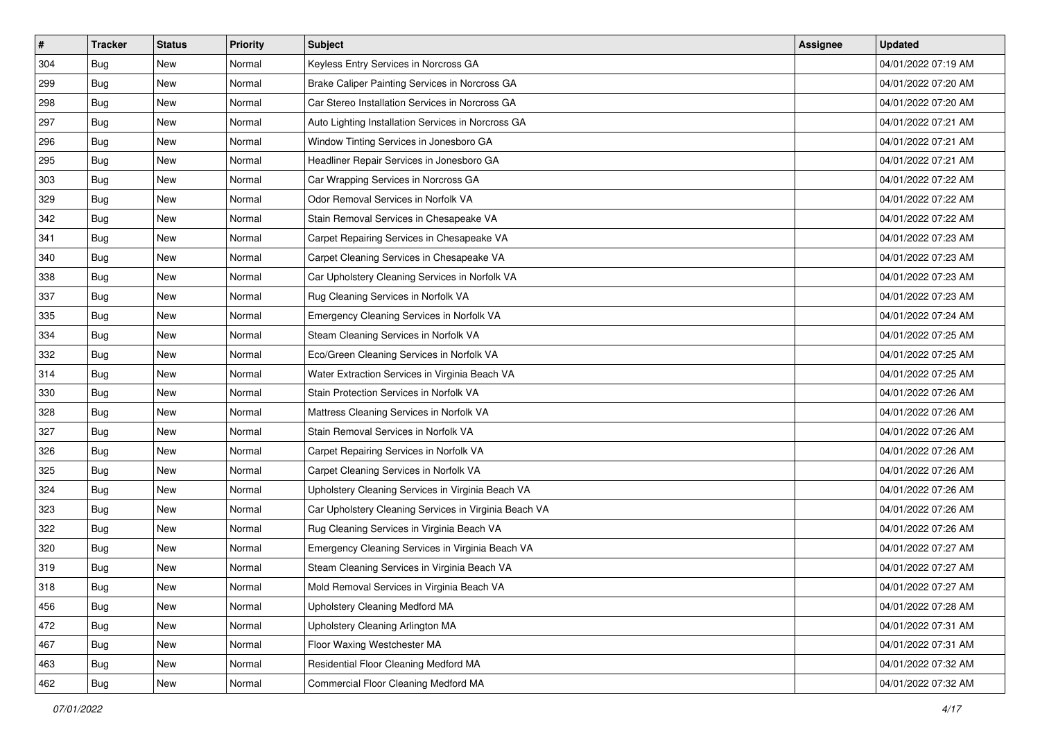| $\sharp$ | <b>Tracker</b> | <b>Status</b> | <b>Priority</b> | <b>Subject</b>                                        | <b>Assignee</b> | <b>Updated</b>      |
|----------|----------------|---------------|-----------------|-------------------------------------------------------|-----------------|---------------------|
| 304      | Bug            | New           | Normal          | Keyless Entry Services in Norcross GA                 |                 | 04/01/2022 07:19 AM |
| 299      | Bug            | New           | Normal          | Brake Caliper Painting Services in Norcross GA        |                 | 04/01/2022 07:20 AM |
| 298      | <b>Bug</b>     | New           | Normal          | Car Stereo Installation Services in Norcross GA       |                 | 04/01/2022 07:20 AM |
| 297      | Bug            | <b>New</b>    | Normal          | Auto Lighting Installation Services in Norcross GA    |                 | 04/01/2022 07:21 AM |
| 296      | <b>Bug</b>     | <b>New</b>    | Normal          | Window Tinting Services in Jonesboro GA               |                 | 04/01/2022 07:21 AM |
| 295      | <b>Bug</b>     | New           | Normal          | Headliner Repair Services in Jonesboro GA             |                 | 04/01/2022 07:21 AM |
| 303      | <b>Bug</b>     | New           | Normal          | Car Wrapping Services in Norcross GA                  |                 | 04/01/2022 07:22 AM |
| 329      | Bug            | New           | Normal          | Odor Removal Services in Norfolk VA                   |                 | 04/01/2022 07:22 AM |
| 342      | Bug            | New           | Normal          | Stain Removal Services in Chesapeake VA               |                 | 04/01/2022 07:22 AM |
| 341      | <b>Bug</b>     | <b>New</b>    | Normal          | Carpet Repairing Services in Chesapeake VA            |                 | 04/01/2022 07:23 AM |
| 340      | Bug            | New           | Normal          | Carpet Cleaning Services in Chesapeake VA             |                 | 04/01/2022 07:23 AM |
| 338      | <b>Bug</b>     | New           | Normal          | Car Upholstery Cleaning Services in Norfolk VA        |                 | 04/01/2022 07:23 AM |
| 337      | <b>Bug</b>     | New           | Normal          | Rug Cleaning Services in Norfolk VA                   |                 | 04/01/2022 07:23 AM |
| 335      | Bug            | New           | Normal          | Emergency Cleaning Services in Norfolk VA             |                 | 04/01/2022 07:24 AM |
| 334      | <b>Bug</b>     | New           | Normal          | Steam Cleaning Services in Norfolk VA                 |                 | 04/01/2022 07:25 AM |
| 332      | <b>Bug</b>     | New           | Normal          | Eco/Green Cleaning Services in Norfolk VA             |                 | 04/01/2022 07:25 AM |
| 314      | <b>Bug</b>     | New           | Normal          | Water Extraction Services in Virginia Beach VA        |                 | 04/01/2022 07:25 AM |
| 330      | Bug            | New           | Normal          | Stain Protection Services in Norfolk VA               |                 | 04/01/2022 07:26 AM |
| 328      | Bug            | New           | Normal          | Mattress Cleaning Services in Norfolk VA              |                 | 04/01/2022 07:26 AM |
| 327      | <b>Bug</b>     | New           | Normal          | Stain Removal Services in Norfolk VA                  |                 | 04/01/2022 07:26 AM |
| 326      | Bug            | New           | Normal          | Carpet Repairing Services in Norfolk VA               |                 | 04/01/2022 07:26 AM |
| 325      | Bug            | <b>New</b>    | Normal          | Carpet Cleaning Services in Norfolk VA                |                 | 04/01/2022 07:26 AM |
| 324      | <b>Bug</b>     | <b>New</b>    | Normal          | Upholstery Cleaning Services in Virginia Beach VA     |                 | 04/01/2022 07:26 AM |
| 323      | <b>Bug</b>     | New           | Normal          | Car Upholstery Cleaning Services in Virginia Beach VA |                 | 04/01/2022 07:26 AM |
| 322      | <b>Bug</b>     | New           | Normal          | Rug Cleaning Services in Virginia Beach VA            |                 | 04/01/2022 07:26 AM |
| 320      | <b>Bug</b>     | New           | Normal          | Emergency Cleaning Services in Virginia Beach VA      |                 | 04/01/2022 07:27 AM |
| 319      | <b>Bug</b>     | New           | Normal          | Steam Cleaning Services in Virginia Beach VA          |                 | 04/01/2022 07:27 AM |
| 318      | <b>Bug</b>     | New           | Normal          | Mold Removal Services in Virginia Beach VA            |                 | 04/01/2022 07:27 AM |
| 456      | Bug            | New           | Normal          | Upholstery Cleaning Medford MA                        |                 | 04/01/2022 07:28 AM |
| 472      | Bug            | New           | Normal          | Upholstery Cleaning Arlington MA                      |                 | 04/01/2022 07:31 AM |
| 467      | Bug            | New           | Normal          | Floor Waxing Westchester MA                           |                 | 04/01/2022 07:31 AM |
| 463      | Bug            | New           | Normal          | Residential Floor Cleaning Medford MA                 |                 | 04/01/2022 07:32 AM |
| 462      | <b>Bug</b>     | New           | Normal          | Commercial Floor Cleaning Medford MA                  |                 | 04/01/2022 07:32 AM |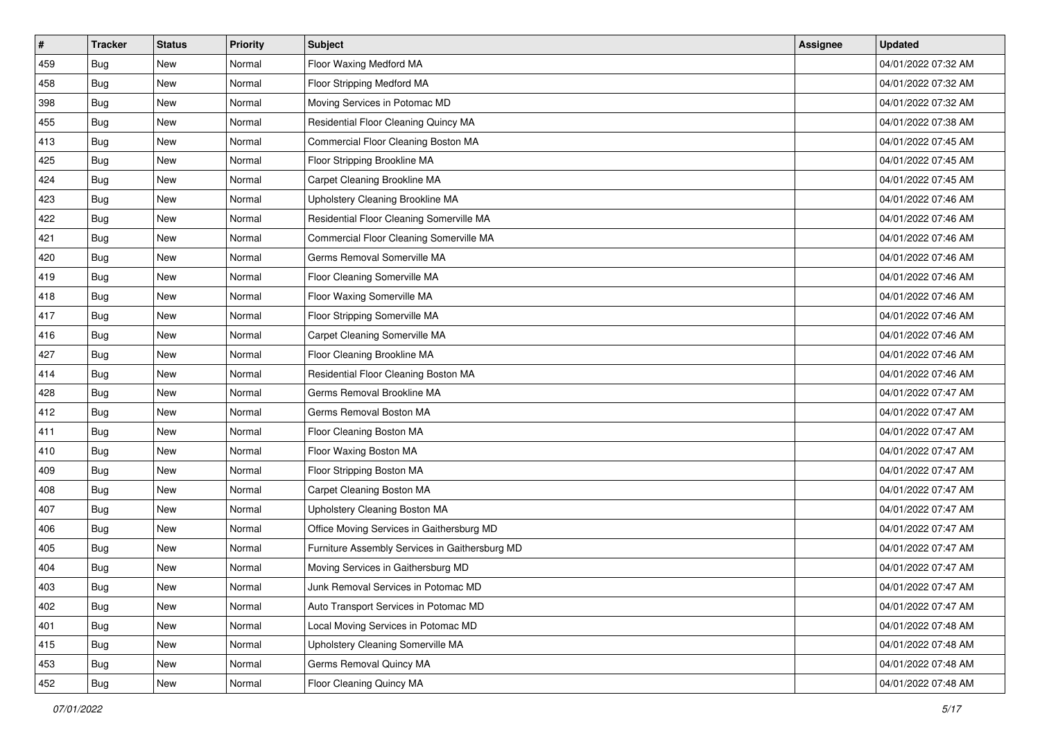| $\sharp$ | <b>Tracker</b> | <b>Status</b> | <b>Priority</b> | <b>Subject</b>                                 | <b>Assignee</b> | <b>Updated</b>      |
|----------|----------------|---------------|-----------------|------------------------------------------------|-----------------|---------------------|
| 459      | <b>Bug</b>     | New           | Normal          | Floor Waxing Medford MA                        |                 | 04/01/2022 07:32 AM |
| 458      | Bug            | <b>New</b>    | Normal          | Floor Stripping Medford MA                     |                 | 04/01/2022 07:32 AM |
| 398      | <b>Bug</b>     | New           | Normal          | Moving Services in Potomac MD                  |                 | 04/01/2022 07:32 AM |
| 455      | <b>Bug</b>     | <b>New</b>    | Normal          | Residential Floor Cleaning Quincy MA           |                 | 04/01/2022 07:38 AM |
| 413      | <b>Bug</b>     | <b>New</b>    | Normal          | Commercial Floor Cleaning Boston MA            |                 | 04/01/2022 07:45 AM |
| 425      | <b>Bug</b>     | New           | Normal          | Floor Stripping Brookline MA                   |                 | 04/01/2022 07:45 AM |
| 424      | <b>Bug</b>     | <b>New</b>    | Normal          | Carpet Cleaning Brookline MA                   |                 | 04/01/2022 07:45 AM |
| 423      | Bug            | New           | Normal          | Upholstery Cleaning Brookline MA               |                 | 04/01/2022 07:46 AM |
| 422      | <b>Bug</b>     | <b>New</b>    | Normal          | Residential Floor Cleaning Somerville MA       |                 | 04/01/2022 07:46 AM |
| 421      | <b>Bug</b>     | <b>New</b>    | Normal          | Commercial Floor Cleaning Somerville MA        |                 | 04/01/2022 07:46 AM |
| 420      | Bug            | New           | Normal          | Germs Removal Somerville MA                    |                 | 04/01/2022 07:46 AM |
| 419      | <b>Bug</b>     | New           | Normal          | Floor Cleaning Somerville MA                   |                 | 04/01/2022 07:46 AM |
| 418      | <b>Bug</b>     | <b>New</b>    | Normal          | Floor Waxing Somerville MA                     |                 | 04/01/2022 07:46 AM |
| 417      | <b>Bug</b>     | New           | Normal          | Floor Stripping Somerville MA                  |                 | 04/01/2022 07:46 AM |
| 416      | <b>Bug</b>     | <b>New</b>    | Normal          | Carpet Cleaning Somerville MA                  |                 | 04/01/2022 07:46 AM |
| 427      | <b>Bug</b>     | New           | Normal          | Floor Cleaning Brookline MA                    |                 | 04/01/2022 07:46 AM |
| 414      | <b>Bug</b>     | <b>New</b>    | Normal          | Residential Floor Cleaning Boston MA           |                 | 04/01/2022 07:46 AM |
| 428      | Bug            | <b>New</b>    | Normal          | Germs Removal Brookline MA                     |                 | 04/01/2022 07:47 AM |
| 412      | Bug            | New           | Normal          | Germs Removal Boston MA                        |                 | 04/01/2022 07:47 AM |
| 411      | <b>Bug</b>     | <b>New</b>    | Normal          | Floor Cleaning Boston MA                       |                 | 04/01/2022 07:47 AM |
| 410      | Bug            | New           | Normal          | Floor Waxing Boston MA                         |                 | 04/01/2022 07:47 AM |
| 409      | <b>Bug</b>     | <b>New</b>    | Normal          | Floor Stripping Boston MA                      |                 | 04/01/2022 07:47 AM |
| 408      | <b>Bug</b>     | <b>New</b>    | Normal          | Carpet Cleaning Boston MA                      |                 | 04/01/2022 07:47 AM |
| 407      | <b>Bug</b>     | New           | Normal          | Upholstery Cleaning Boston MA                  |                 | 04/01/2022 07:47 AM |
| 406      | <b>Bug</b>     | New           | Normal          | Office Moving Services in Gaithersburg MD      |                 | 04/01/2022 07:47 AM |
| 405      | <b>Bug</b>     | <b>New</b>    | Normal          | Furniture Assembly Services in Gaithersburg MD |                 | 04/01/2022 07:47 AM |
| 404      | Bug            | <b>New</b>    | Normal          | Moving Services in Gaithersburg MD             |                 | 04/01/2022 07:47 AM |
| 403      | <b>Bug</b>     | New           | Normal          | Junk Removal Services in Potomac MD            |                 | 04/01/2022 07:47 AM |
| 402      | Bug            | New           | Normal          | Auto Transport Services in Potomac MD          |                 | 04/01/2022 07:47 AM |
| 401      | <b>Bug</b>     | New           | Normal          | Local Moving Services in Potomac MD            |                 | 04/01/2022 07:48 AM |
| 415      | Bug            | New           | Normal          | Upholstery Cleaning Somerville MA              |                 | 04/01/2022 07:48 AM |
| 453      | <b>Bug</b>     | New           | Normal          | Germs Removal Quincy MA                        |                 | 04/01/2022 07:48 AM |
| 452      | <b>Bug</b>     | New           | Normal          | Floor Cleaning Quincy MA                       |                 | 04/01/2022 07:48 AM |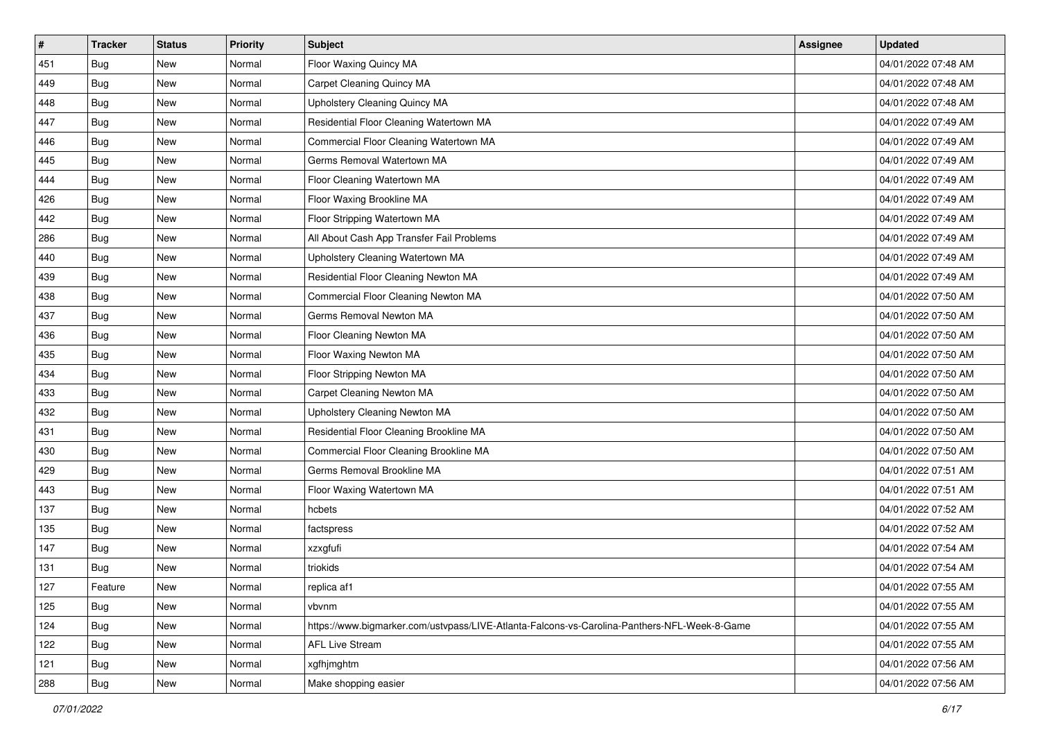| #   | <b>Tracker</b> | <b>Status</b> | <b>Priority</b> | Subject                                                                                      | <b>Assignee</b> | <b>Updated</b>      |
|-----|----------------|---------------|-----------------|----------------------------------------------------------------------------------------------|-----------------|---------------------|
| 451 | <b>Bug</b>     | New           | Normal          | Floor Waxing Quincy MA                                                                       |                 | 04/01/2022 07:48 AM |
| 449 | Bug            | New           | Normal          | Carpet Cleaning Quincy MA                                                                    |                 | 04/01/2022 07:48 AM |
| 448 | <b>Bug</b>     | New           | Normal          | Upholstery Cleaning Quincy MA                                                                |                 | 04/01/2022 07:48 AM |
| 447 | <b>Bug</b>     | New           | Normal          | Residential Floor Cleaning Watertown MA                                                      |                 | 04/01/2022 07:49 AM |
| 446 | <b>Bug</b>     | New           | Normal          | Commercial Floor Cleaning Watertown MA                                                       |                 | 04/01/2022 07:49 AM |
| 445 | Bug            | New           | Normal          | Germs Removal Watertown MA                                                                   |                 | 04/01/2022 07:49 AM |
| 444 | <b>Bug</b>     | New           | Normal          | Floor Cleaning Watertown MA                                                                  |                 | 04/01/2022 07:49 AM |
| 426 | <b>Bug</b>     | New           | Normal          | Floor Waxing Brookline MA                                                                    |                 | 04/01/2022 07:49 AM |
| 442 | <b>Bug</b>     | New           | Normal          | Floor Stripping Watertown MA                                                                 |                 | 04/01/2022 07:49 AM |
| 286 | Bug            | New           | Normal          | All About Cash App Transfer Fail Problems                                                    |                 | 04/01/2022 07:49 AM |
| 440 | <b>Bug</b>     | New           | Normal          | Upholstery Cleaning Watertown MA                                                             |                 | 04/01/2022 07:49 AM |
| 439 | <b>Bug</b>     | New           | Normal          | Residential Floor Cleaning Newton MA                                                         |                 | 04/01/2022 07:49 AM |
| 438 | Bug            | New           | Normal          | Commercial Floor Cleaning Newton MA                                                          |                 | 04/01/2022 07:50 AM |
| 437 | <b>Bug</b>     | New           | Normal          | Germs Removal Newton MA                                                                      |                 | 04/01/2022 07:50 AM |
| 436 | <b>Bug</b>     | New           | Normal          | Floor Cleaning Newton MA                                                                     |                 | 04/01/2022 07:50 AM |
| 435 | <b>Bug</b>     | New           | Normal          | Floor Waxing Newton MA                                                                       |                 | 04/01/2022 07:50 AM |
| 434 | <b>Bug</b>     | New           | Normal          | Floor Stripping Newton MA                                                                    |                 | 04/01/2022 07:50 AM |
| 433 | <b>Bug</b>     | <b>New</b>    | Normal          | Carpet Cleaning Newton MA                                                                    |                 | 04/01/2022 07:50 AM |
| 432 | <b>Bug</b>     | New           | Normal          | Upholstery Cleaning Newton MA                                                                |                 | 04/01/2022 07:50 AM |
| 431 | <b>Bug</b>     | New           | Normal          | Residential Floor Cleaning Brookline MA                                                      |                 | 04/01/2022 07:50 AM |
| 430 | <b>Bug</b>     | New           | Normal          | Commercial Floor Cleaning Brookline MA                                                       |                 | 04/01/2022 07:50 AM |
| 429 | <b>Bug</b>     | New           | Normal          | Germs Removal Brookline MA                                                                   |                 | 04/01/2022 07:51 AM |
| 443 | Bug            | New           | Normal          | Floor Waxing Watertown MA                                                                    |                 | 04/01/2022 07:51 AM |
| 137 | <b>Bug</b>     | New           | Normal          | hcbets                                                                                       |                 | 04/01/2022 07:52 AM |
| 135 | <b>Bug</b>     | New           | Normal          | factspress                                                                                   |                 | 04/01/2022 07:52 AM |
| 147 | Bug            | New           | Normal          | xzxgfufi                                                                                     |                 | 04/01/2022 07:54 AM |
| 131 | Bug            | New           | Normal          | triokids                                                                                     |                 | 04/01/2022 07:54 AM |
| 127 | Feature        | New           | Normal          | replica af1                                                                                  |                 | 04/01/2022 07:55 AM |
| 125 | <b>Bug</b>     | New           | Normal          | vbvnm                                                                                        |                 | 04/01/2022 07:55 AM |
| 124 | <b>Bug</b>     | New           | Normal          | https://www.bigmarker.com/ustvpass/LIVE-Atlanta-Falcons-vs-Carolina-Panthers-NFL-Week-8-Game |                 | 04/01/2022 07:55 AM |
| 122 | <b>Bug</b>     | New           | Normal          | <b>AFL Live Stream</b>                                                                       |                 | 04/01/2022 07:55 AM |
| 121 | <b>Bug</b>     | New           | Normal          | xgfhjmghtm                                                                                   |                 | 04/01/2022 07:56 AM |
| 288 | <b>Bug</b>     | New           | Normal          | Make shopping easier                                                                         |                 | 04/01/2022 07:56 AM |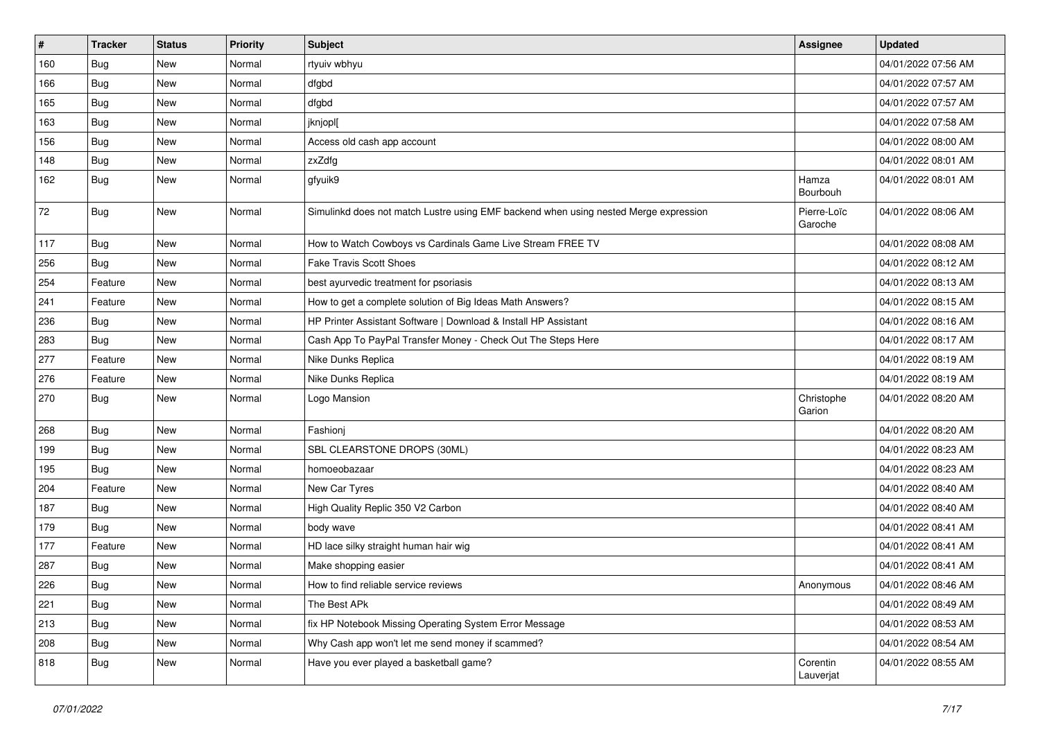| $\sharp$ | <b>Tracker</b> | <b>Status</b> | Priority | <b>Subject</b>                                                                       | <b>Assignee</b>        | <b>Updated</b>      |
|----------|----------------|---------------|----------|--------------------------------------------------------------------------------------|------------------------|---------------------|
| 160      | Bug            | New           | Normal   | rtyuiv wbhyu                                                                         |                        | 04/01/2022 07:56 AM |
| 166      | <b>Bug</b>     | New           | Normal   | dfgbd                                                                                |                        | 04/01/2022 07:57 AM |
| 165      | <b>Bug</b>     | New           | Normal   | dfgbd                                                                                |                        | 04/01/2022 07:57 AM |
| 163      | <b>Bug</b>     | New           | Normal   | jknjopl[                                                                             |                        | 04/01/2022 07:58 AM |
| 156      | <b>Bug</b>     | New           | Normal   | Access old cash app account                                                          |                        | 04/01/2022 08:00 AM |
| 148      | <b>Bug</b>     | New           | Normal   | zxZdfg                                                                               |                        | 04/01/2022 08:01 AM |
| 162      | <b>Bug</b>     | New           | Normal   | gfyuik9                                                                              | Hamza<br>Bourbouh      | 04/01/2022 08:01 AM |
| 72       | <b>Bug</b>     | New           | Normal   | Simulinkd does not match Lustre using EMF backend when using nested Merge expression | Pierre-Loïc<br>Garoche | 04/01/2022 08:06 AM |
| 117      | <b>Bug</b>     | New           | Normal   | How to Watch Cowboys vs Cardinals Game Live Stream FREE TV                           |                        | 04/01/2022 08:08 AM |
| 256      | <b>Bug</b>     | New           | Normal   | <b>Fake Travis Scott Shoes</b>                                                       |                        | 04/01/2022 08:12 AM |
| 254      | Feature        | New           | Normal   | best ayurvedic treatment for psoriasis                                               |                        | 04/01/2022 08:13 AM |
| 241      | Feature        | New           | Normal   | How to get a complete solution of Big Ideas Math Answers?                            |                        | 04/01/2022 08:15 AM |
| 236      | <b>Bug</b>     | New           | Normal   | HP Printer Assistant Software   Download & Install HP Assistant                      |                        | 04/01/2022 08:16 AM |
| 283      | <b>Bug</b>     | New           | Normal   | Cash App To PayPal Transfer Money - Check Out The Steps Here                         |                        | 04/01/2022 08:17 AM |
| 277      | Feature        | New           | Normal   | Nike Dunks Replica                                                                   |                        | 04/01/2022 08:19 AM |
| 276      | Feature        | <b>New</b>    | Normal   | Nike Dunks Replica                                                                   |                        | 04/01/2022 08:19 AM |
| 270      | Bug            | New           | Normal   | Logo Mansion                                                                         | Christophe<br>Garion   | 04/01/2022 08:20 AM |
| 268      | Bug            | New           | Normal   | Fashionj                                                                             |                        | 04/01/2022 08:20 AM |
| 199      | <b>Bug</b>     | New           | Normal   | SBL CLEARSTONE DROPS (30ML)                                                          |                        | 04/01/2022 08:23 AM |
| 195      | <b>Bug</b>     | New           | Normal   | homoeobazaar                                                                         |                        | 04/01/2022 08:23 AM |
| 204      | Feature        | New           | Normal   | New Car Tyres                                                                        |                        | 04/01/2022 08:40 AM |
| 187      | <b>Bug</b>     | New           | Normal   | High Quality Replic 350 V2 Carbon                                                    |                        | 04/01/2022 08:40 AM |
| 179      | <b>Bug</b>     | New           | Normal   | body wave                                                                            |                        | 04/01/2022 08:41 AM |
| 177      | Feature        | New           | Normal   | HD lace silky straight human hair wig                                                |                        | 04/01/2022 08:41 AM |
| 287      | Bug            | New           | Normal   | Make shopping easier                                                                 |                        | 04/01/2022 08:41 AM |
| 226      | Bug            | New           | Normal   | How to find reliable service reviews                                                 | Anonymous              | 04/01/2022 08:46 AM |
| 221      | <b>Bug</b>     | New           | Normal   | The Best APk                                                                         |                        | 04/01/2022 08:49 AM |
| 213      | <b>Bug</b>     | New           | Normal   | fix HP Notebook Missing Operating System Error Message                               |                        | 04/01/2022 08:53 AM |
| 208      | Bug            | New           | Normal   | Why Cash app won't let me send money if scammed?                                     |                        | 04/01/2022 08:54 AM |
| 818      | <b>Bug</b>     | New           | Normal   | Have you ever played a basketball game?                                              | Corentin<br>Lauverjat  | 04/01/2022 08:55 AM |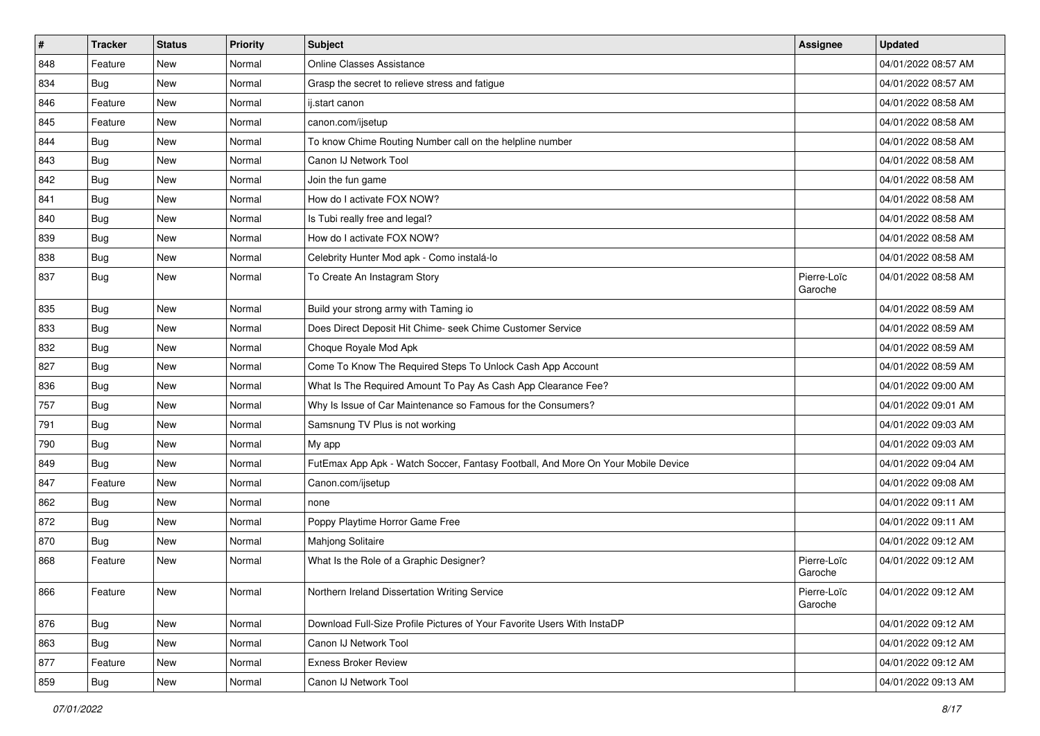| $\vert$ # | <b>Tracker</b> | <b>Status</b> | Priority | <b>Subject</b>                                                                   | <b>Assignee</b>        | <b>Updated</b>      |
|-----------|----------------|---------------|----------|----------------------------------------------------------------------------------|------------------------|---------------------|
| 848       | Feature        | New           | Normal   | <b>Online Classes Assistance</b>                                                 |                        | 04/01/2022 08:57 AM |
| 834       | <b>Bug</b>     | New           | Normal   | Grasp the secret to relieve stress and fatigue                                   |                        | 04/01/2022 08:57 AM |
| 846       | Feature        | New           | Normal   | ij.start canon                                                                   |                        | 04/01/2022 08:58 AM |
| 845       | Feature        | New           | Normal   | canon.com/ijsetup                                                                |                        | 04/01/2022 08:58 AM |
| 844       | <b>Bug</b>     | New           | Normal   | To know Chime Routing Number call on the helpline number                         |                        | 04/01/2022 08:58 AM |
| 843       | Bug            | New           | Normal   | Canon IJ Network Tool                                                            |                        | 04/01/2022 08:58 AM |
| 842       | <b>Bug</b>     | New           | Normal   | Join the fun game                                                                |                        | 04/01/2022 08:58 AM |
| 841       | <b>Bug</b>     | New           | Normal   | How do I activate FOX NOW?                                                       |                        | 04/01/2022 08:58 AM |
| 840       | <b>Bug</b>     | New           | Normal   | Is Tubi really free and legal?                                                   |                        | 04/01/2022 08:58 AM |
| 839       | Bug            | New           | Normal   | How do I activate FOX NOW?                                                       |                        | 04/01/2022 08:58 AM |
| 838       | <b>Bug</b>     | New           | Normal   | Celebrity Hunter Mod apk - Como instalá-lo                                       |                        | 04/01/2022 08:58 AM |
| 837       | <b>Bug</b>     | New           | Normal   | To Create An Instagram Story                                                     | Pierre-Loïc<br>Garoche | 04/01/2022 08:58 AM |
| 835       | <b>Bug</b>     | New           | Normal   | Build your strong army with Taming io                                            |                        | 04/01/2022 08:59 AM |
| 833       | Bug            | New           | Normal   | Does Direct Deposit Hit Chime- seek Chime Customer Service                       |                        | 04/01/2022 08:59 AM |
| 832       | Bug            | New           | Normal   | Choque Royale Mod Apk                                                            |                        | 04/01/2022 08:59 AM |
| 827       | <b>Bug</b>     | New           | Normal   | Come To Know The Required Steps To Unlock Cash App Account                       |                        | 04/01/2022 08:59 AM |
| 836       | Bug            | New           | Normal   | What Is The Required Amount To Pay As Cash App Clearance Fee?                    |                        | 04/01/2022 09:00 AM |
| 757       | <b>Bug</b>     | New           | Normal   | Why Is Issue of Car Maintenance so Famous for the Consumers?                     |                        | 04/01/2022 09:01 AM |
| 791       | <b>Bug</b>     | New           | Normal   | Samsnung TV Plus is not working                                                  |                        | 04/01/2022 09:03 AM |
| 790       | Bug            | New           | Normal   | My app                                                                           |                        | 04/01/2022 09:03 AM |
| 849       | <b>Bug</b>     | New           | Normal   | FutEmax App Apk - Watch Soccer, Fantasy Football, And More On Your Mobile Device |                        | 04/01/2022 09:04 AM |
| 847       | Feature        | New           | Normal   | Canon.com/ijsetup                                                                |                        | 04/01/2022 09:08 AM |
| 862       | Bug            | New           | Normal   | none                                                                             |                        | 04/01/2022 09:11 AM |
| 872       | <b>Bug</b>     | New           | Normal   | Poppy Playtime Horror Game Free                                                  |                        | 04/01/2022 09:11 AM |
| 870       | <b>Bug</b>     | New           | Normal   | Mahjong Solitaire                                                                |                        | 04/01/2022 09:12 AM |
| 868       | Feature        | New           | Normal   | What Is the Role of a Graphic Designer?                                          | Pierre-Loïc<br>Garoche | 04/01/2022 09:12 AM |
| 866       | Feature        | New           | Normal   | Northern Ireland Dissertation Writing Service                                    | Pierre-Loïc<br>Garoche | 04/01/2022 09:12 AM |
| 876       | Bug            | New           | Normal   | Download Full-Size Profile Pictures of Your Favorite Users With InstaDP          |                        | 04/01/2022 09:12 AM |
| 863       | <b>Bug</b>     | New           | Normal   | Canon IJ Network Tool                                                            |                        | 04/01/2022 09:12 AM |
| 877       | Feature        | New           | Normal   | <b>Exness Broker Review</b>                                                      |                        | 04/01/2022 09:12 AM |
| 859       | Bug            | New           | Normal   | Canon IJ Network Tool                                                            |                        | 04/01/2022 09:13 AM |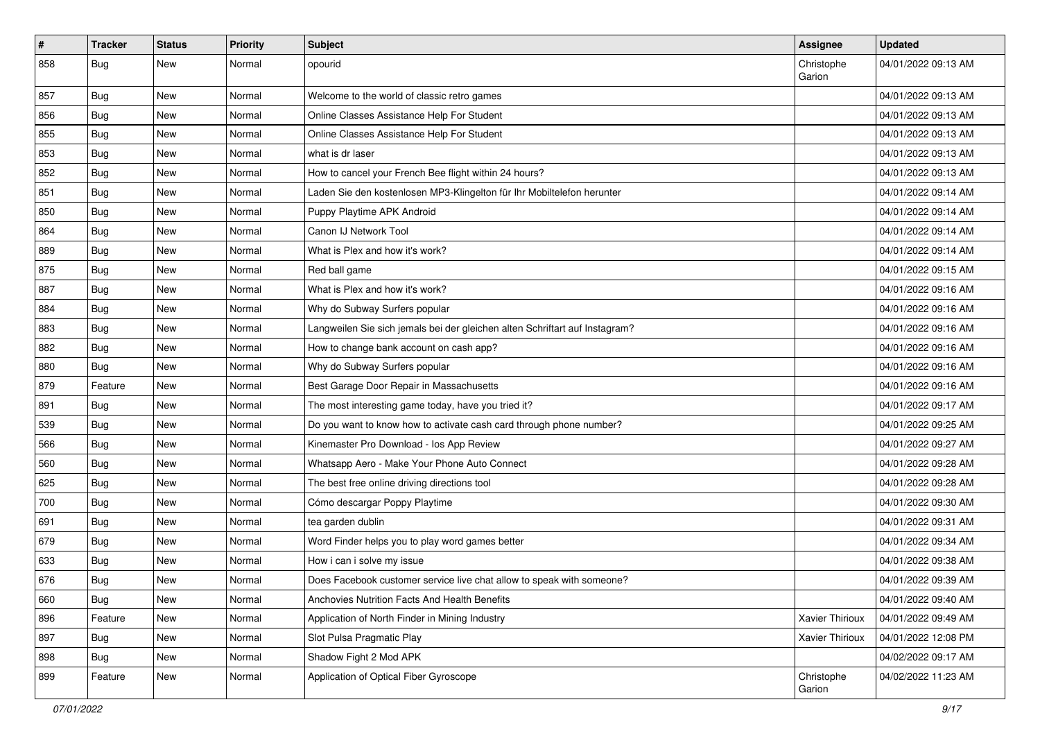| $\vert$ # | <b>Tracker</b> | <b>Status</b> | Priority | <b>Subject</b>                                                              | <b>Assignee</b>      | <b>Updated</b>      |
|-----------|----------------|---------------|----------|-----------------------------------------------------------------------------|----------------------|---------------------|
| 858       | <b>Bug</b>     | New           | Normal   | opourid                                                                     | Christophe<br>Garion | 04/01/2022 09:13 AM |
| 857       | Bug            | New           | Normal   | Welcome to the world of classic retro games                                 |                      | 04/01/2022 09:13 AM |
| 856       | <b>Bug</b>     | New           | Normal   | Online Classes Assistance Help For Student                                  |                      | 04/01/2022 09:13 AM |
| 855       | Bug            | New           | Normal   | Online Classes Assistance Help For Student                                  |                      | 04/01/2022 09:13 AM |
| 853       | Bug            | New           | Normal   | what is dr laser                                                            |                      | 04/01/2022 09:13 AM |
| 852       | <b>Bug</b>     | New           | Normal   | How to cancel your French Bee flight within 24 hours?                       |                      | 04/01/2022 09:13 AM |
| 851       | Bug            | New           | Normal   | Laden Sie den kostenlosen MP3-Klingelton für Ihr Mobiltelefon herunter      |                      | 04/01/2022 09:14 AM |
| 850       | <b>Bug</b>     | New           | Normal   | Puppy Playtime APK Android                                                  |                      | 04/01/2022 09:14 AM |
| 864       | Bug            | New           | Normal   | Canon IJ Network Tool                                                       |                      | 04/01/2022 09:14 AM |
| 889       | Bug            | New           | Normal   | What is Plex and how it's work?                                             |                      | 04/01/2022 09:14 AM |
| 875       | Bug            | New           | Normal   | Red ball game                                                               |                      | 04/01/2022 09:15 AM |
| 887       | Bug            | New           | Normal   | What is Plex and how it's work?                                             |                      | 04/01/2022 09:16 AM |
| 884       | <b>Bug</b>     | New           | Normal   | Why do Subway Surfers popular                                               |                      | 04/01/2022 09:16 AM |
| 883       | Bug            | New           | Normal   | Langweilen Sie sich jemals bei der gleichen alten Schriftart auf Instagram? |                      | 04/01/2022 09:16 AM |
| 882       | Bug            | New           | Normal   | How to change bank account on cash app?                                     |                      | 04/01/2022 09:16 AM |
| 880       | Bug            | New           | Normal   | Why do Subway Surfers popular                                               |                      | 04/01/2022 09:16 AM |
| 879       | Feature        | New           | Normal   | Best Garage Door Repair in Massachusetts                                    |                      | 04/01/2022 09:16 AM |
| 891       | <b>Bug</b>     | New           | Normal   | The most interesting game today, have you tried it?                         |                      | 04/01/2022 09:17 AM |
| 539       | Bug            | New           | Normal   | Do you want to know how to activate cash card through phone number?         |                      | 04/01/2022 09:25 AM |
| 566       | Bug            | New           | Normal   | Kinemaster Pro Download - los App Review                                    |                      | 04/01/2022 09:27 AM |
| 560       | <b>Bug</b>     | New           | Normal   | Whatsapp Aero - Make Your Phone Auto Connect                                |                      | 04/01/2022 09:28 AM |
| 625       | Bug            | New           | Normal   | The best free online driving directions tool                                |                      | 04/01/2022 09:28 AM |
| 700       | Bug            | New           | Normal   | Cómo descargar Poppy Playtime                                               |                      | 04/01/2022 09:30 AM |
| 691       | Bug            | New           | Normal   | tea garden dublin                                                           |                      | 04/01/2022 09:31 AM |
| 679       | Bug            | New           | Normal   | Word Finder helps you to play word games better                             |                      | 04/01/2022 09:34 AM |
| 633       | Bug            | New           | Normal   | How i can i solve my issue                                                  |                      | 04/01/2022 09:38 AM |
| 676       | Bug            | New           | Normal   | Does Facebook customer service live chat allow to speak with someone?       |                      | 04/01/2022 09:39 AM |
| 660       | Bug            | New           | Normal   | Anchovies Nutrition Facts And Health Benefits                               |                      | 04/01/2022 09:40 AM |
| 896       | Feature        | New           | Normal   | Application of North Finder in Mining Industry                              | Xavier Thirioux      | 04/01/2022 09:49 AM |
| 897       | <b>Bug</b>     | New           | Normal   | Slot Pulsa Pragmatic Play                                                   | Xavier Thirioux      | 04/01/2022 12:08 PM |
| 898       | <b>Bug</b>     | New           | Normal   | Shadow Fight 2 Mod APK                                                      |                      | 04/02/2022 09:17 AM |
| 899       | Feature        | New           | Normal   | Application of Optical Fiber Gyroscope                                      | Christophe<br>Garion | 04/02/2022 11:23 AM |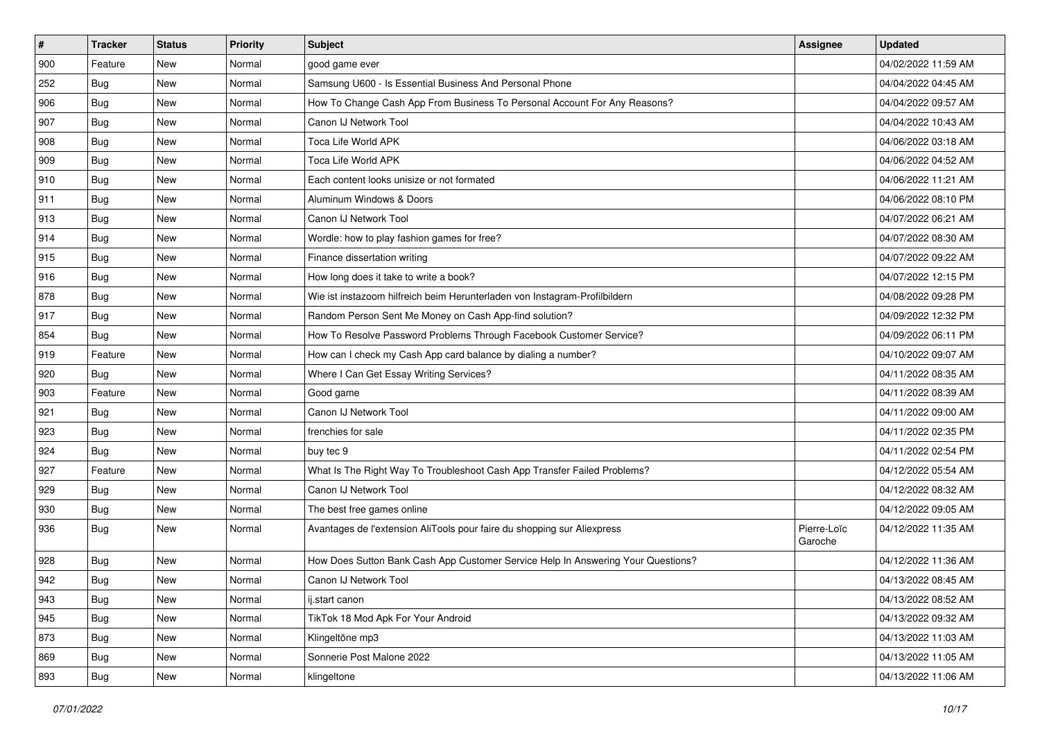| $\sharp$ | <b>Tracker</b> | <b>Status</b> | <b>Priority</b> | Subject                                                                          | <b>Assignee</b>        | <b>Updated</b>      |
|----------|----------------|---------------|-----------------|----------------------------------------------------------------------------------|------------------------|---------------------|
| 900      | Feature        | New           | Normal          | good game ever                                                                   |                        | 04/02/2022 11:59 AM |
| 252      | Bug            | New           | Normal          | Samsung U600 - Is Essential Business And Personal Phone                          |                        | 04/04/2022 04:45 AM |
| 906      | <b>Bug</b>     | New           | Normal          | How To Change Cash App From Business To Personal Account For Any Reasons?        |                        | 04/04/2022 09:57 AM |
| 907      | <b>Bug</b>     | <b>New</b>    | Normal          | Canon IJ Network Tool                                                            |                        | 04/04/2022 10:43 AM |
| 908      | Bug            | <b>New</b>    | Normal          | <b>Toca Life World APK</b>                                                       |                        | 04/06/2022 03:18 AM |
| 909      | <b>Bug</b>     | New           | Normal          | Toca Life World APK                                                              |                        | 04/06/2022 04:52 AM |
| 910      | <b>Bug</b>     | New           | Normal          | Each content looks unisize or not formated                                       |                        | 04/06/2022 11:21 AM |
| 911      | <b>Bug</b>     | New           | Normal          | Aluminum Windows & Doors                                                         |                        | 04/06/2022 08:10 PM |
| 913      | <b>Bug</b>     | New           | Normal          | Canon IJ Network Tool                                                            |                        | 04/07/2022 06:21 AM |
| 914      | <b>Bug</b>     | <b>New</b>    | Normal          | Wordle: how to play fashion games for free?                                      |                        | 04/07/2022 08:30 AM |
| 915      | Bug            | New           | Normal          | Finance dissertation writing                                                     |                        | 04/07/2022 09:22 AM |
| 916      | Bug            | New           | Normal          | How long does it take to write a book?                                           |                        | 04/07/2022 12:15 PM |
| 878      | <b>Bug</b>     | <b>New</b>    | Normal          | Wie ist instazoom hilfreich beim Herunterladen von Instagram-Profilbildern       |                        | 04/08/2022 09:28 PM |
| 917      | <b>Bug</b>     | New           | Normal          | Random Person Sent Me Money on Cash App-find solution?                           |                        | 04/09/2022 12:32 PM |
| 854      | <b>Bug</b>     | <b>New</b>    | Normal          | How To Resolve Password Problems Through Facebook Customer Service?              |                        | 04/09/2022 06:11 PM |
| 919      | Feature        | New           | Normal          | How can I check my Cash App card balance by dialing a number?                    |                        | 04/10/2022 09:07 AM |
| 920      | Bug            | <b>New</b>    | Normal          | Where I Can Get Essay Writing Services?                                          |                        | 04/11/2022 08:35 AM |
| 903      | Feature        | <b>New</b>    | Normal          | Good game                                                                        |                        | 04/11/2022 08:39 AM |
| 921      | Bug            | New           | Normal          | Canon IJ Network Tool                                                            |                        | 04/11/2022 09:00 AM |
| 923      | <b>Bug</b>     | <b>New</b>    | Normal          | frenchies for sale                                                               |                        | 04/11/2022 02:35 PM |
| 924      | Bug            | New           | Normal          | buy tec 9                                                                        |                        | 04/11/2022 02:54 PM |
| 927      | Feature        | <b>New</b>    | Normal          | What Is The Right Way To Troubleshoot Cash App Transfer Failed Problems?         |                        | 04/12/2022 05:54 AM |
| 929      | <b>Bug</b>     | <b>New</b>    | Normal          | Canon IJ Network Tool                                                            |                        | 04/12/2022 08:32 AM |
| 930      | <b>Bug</b>     | New           | Normal          | The best free games online                                                       |                        | 04/12/2022 09:05 AM |
| 936      | <b>Bug</b>     | New           | Normal          | Avantages de l'extension AliTools pour faire du shopping sur Aliexpress          | Pierre-Loïc<br>Garoche | 04/12/2022 11:35 AM |
| 928      | Bug            | New           | Normal          | How Does Sutton Bank Cash App Customer Service Help In Answering Your Questions? |                        | 04/12/2022 11:36 AM |
| 942      | <b>Bug</b>     | New           | Normal          | Canon IJ Network Tool                                                            |                        | 04/13/2022 08:45 AM |
| 943      | <b>Bug</b>     | New           | Normal          | ij.start canon                                                                   |                        | 04/13/2022 08:52 AM |
| 945      | Bug            | New           | Normal          | TikTok 18 Mod Apk For Your Android                                               |                        | 04/13/2022 09:32 AM |
| 873      | Bug            | New           | Normal          | Klingeltöne mp3                                                                  |                        | 04/13/2022 11:03 AM |
| 869      | Bug            | New           | Normal          | Sonnerie Post Malone 2022                                                        |                        | 04/13/2022 11:05 AM |
| 893      | <b>Bug</b>     | New           | Normal          | klingeltone                                                                      |                        | 04/13/2022 11:06 AM |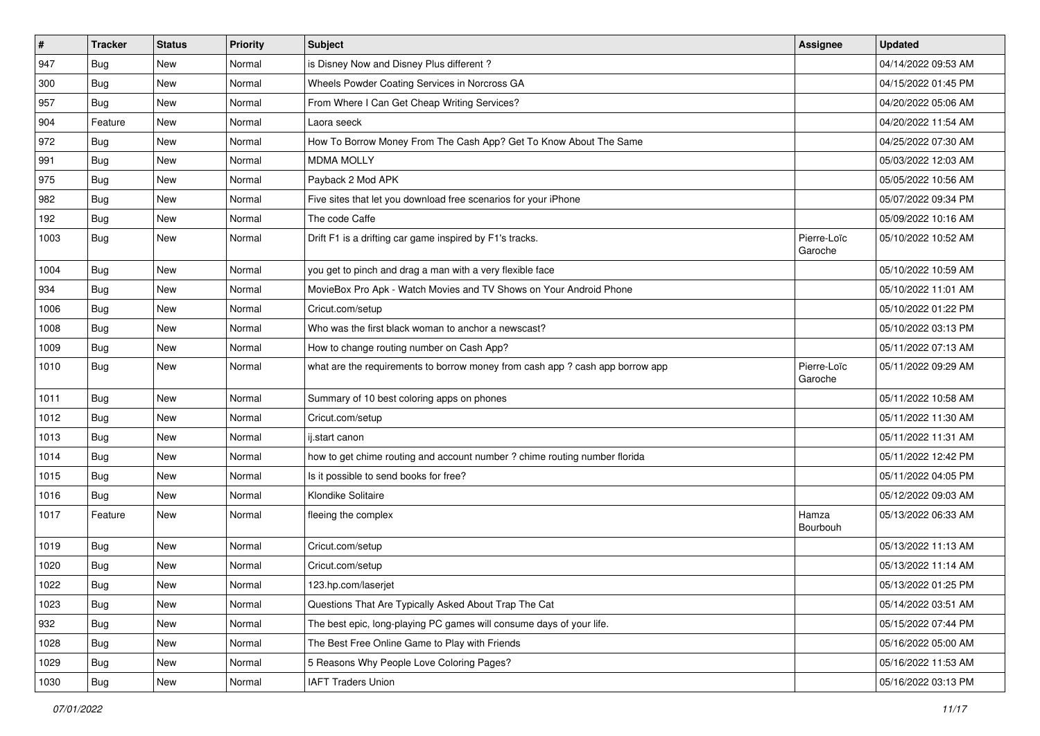| $\sharp$ | <b>Tracker</b> | <b>Status</b> | <b>Priority</b> | Subject                                                                       | Assignee               | <b>Updated</b>      |
|----------|----------------|---------------|-----------------|-------------------------------------------------------------------------------|------------------------|---------------------|
| 947      | Bug            | New           | Normal          | is Disney Now and Disney Plus different?                                      |                        | 04/14/2022 09:53 AM |
| 300      | <b>Bug</b>     | New           | Normal          | Wheels Powder Coating Services in Norcross GA                                 |                        | 04/15/2022 01:45 PM |
| 957      | Bug            | New           | Normal          | From Where I Can Get Cheap Writing Services?                                  |                        | 04/20/2022 05:06 AM |
| 904      | Feature        | New           | Normal          | Laora seeck                                                                   |                        | 04/20/2022 11:54 AM |
| 972      | <b>Bug</b>     | New           | Normal          | How To Borrow Money From The Cash App? Get To Know About The Same             |                        | 04/25/2022 07:30 AM |
| 991      | <b>Bug</b>     | New           | Normal          | <b>MDMA MOLLY</b>                                                             |                        | 05/03/2022 12:03 AM |
| 975      | <b>Bug</b>     | New           | Normal          | Payback 2 Mod APK                                                             |                        | 05/05/2022 10:56 AM |
| 982      | <b>Bug</b>     | New           | Normal          | Five sites that let you download free scenarios for your iPhone               |                        | 05/07/2022 09:34 PM |
| 192      | <b>Bug</b>     | New           | Normal          | The code Caffe                                                                |                        | 05/09/2022 10:16 AM |
| 1003     | <b>Bug</b>     | New           | Normal          | Drift F1 is a drifting car game inspired by F1's tracks.                      | Pierre-Loïc<br>Garoche | 05/10/2022 10:52 AM |
| 1004     | <b>Bug</b>     | <b>New</b>    | Normal          | you get to pinch and drag a man with a very flexible face                     |                        | 05/10/2022 10:59 AM |
| 934      | Bug            | New           | Normal          | MovieBox Pro Apk - Watch Movies and TV Shows on Your Android Phone            |                        | 05/10/2022 11:01 AM |
| 1006     | Bug            | New           | Normal          | Cricut.com/setup                                                              |                        | 05/10/2022 01:22 PM |
| 1008     | <b>Bug</b>     | New           | Normal          | Who was the first black woman to anchor a newscast?                           |                        | 05/10/2022 03:13 PM |
| 1009     | Bug            | New           | Normal          | How to change routing number on Cash App?                                     |                        | 05/11/2022 07:13 AM |
| 1010     | <b>Bug</b>     | New           | Normal          | what are the requirements to borrow money from cash app ? cash app borrow app | Pierre-Loïc<br>Garoche | 05/11/2022 09:29 AM |
| 1011     | Bug            | New           | Normal          | Summary of 10 best coloring apps on phones                                    |                        | 05/11/2022 10:58 AM |
| 1012     | <b>Bug</b>     | New           | Normal          | Cricut.com/setup                                                              |                        | 05/11/2022 11:30 AM |
| 1013     | Bug            | New           | Normal          | ij.start canon                                                                |                        | 05/11/2022 11:31 AM |
| 1014     | <b>Bug</b>     | New           | Normal          | how to get chime routing and account number ? chime routing number florida    |                        | 05/11/2022 12:42 PM |
| 1015     | <b>Bug</b>     | New           | Normal          | Is it possible to send books for free?                                        |                        | 05/11/2022 04:05 PM |
| 1016     | Bug            | New           | Normal          | Klondike Solitaire                                                            |                        | 05/12/2022 09:03 AM |
| 1017     | Feature        | New           | Normal          | fleeing the complex                                                           | Hamza<br>Bourbouh      | 05/13/2022 06:33 AM |
| 1019     | <b>Bug</b>     | New           | Normal          | Cricut.com/setup                                                              |                        | 05/13/2022 11:13 AM |
| 1020     | <b>Bug</b>     | <b>New</b>    | Normal          | Cricut.com/setup                                                              |                        | 05/13/2022 11:14 AM |
| 1022     | Bug            | New           | Normal          | 123.hp.com/laserjet                                                           |                        | 05/13/2022 01:25 PM |
| 1023     | Bug            | New           | Normal          | Questions That Are Typically Asked About Trap The Cat                         |                        | 05/14/2022 03:51 AM |
| 932      | Bug            | New           | Normal          | The best epic, long-playing PC games will consume days of your life.          |                        | 05/15/2022 07:44 PM |
| 1028     | Bug            | New           | Normal          | The Best Free Online Game to Play with Friends                                |                        | 05/16/2022 05:00 AM |
| 1029     | Bug            | New           | Normal          | 5 Reasons Why People Love Coloring Pages?                                     |                        | 05/16/2022 11:53 AM |
| 1030     | <b>Bug</b>     | New           | Normal          | <b>IAFT Traders Union</b>                                                     |                        | 05/16/2022 03:13 PM |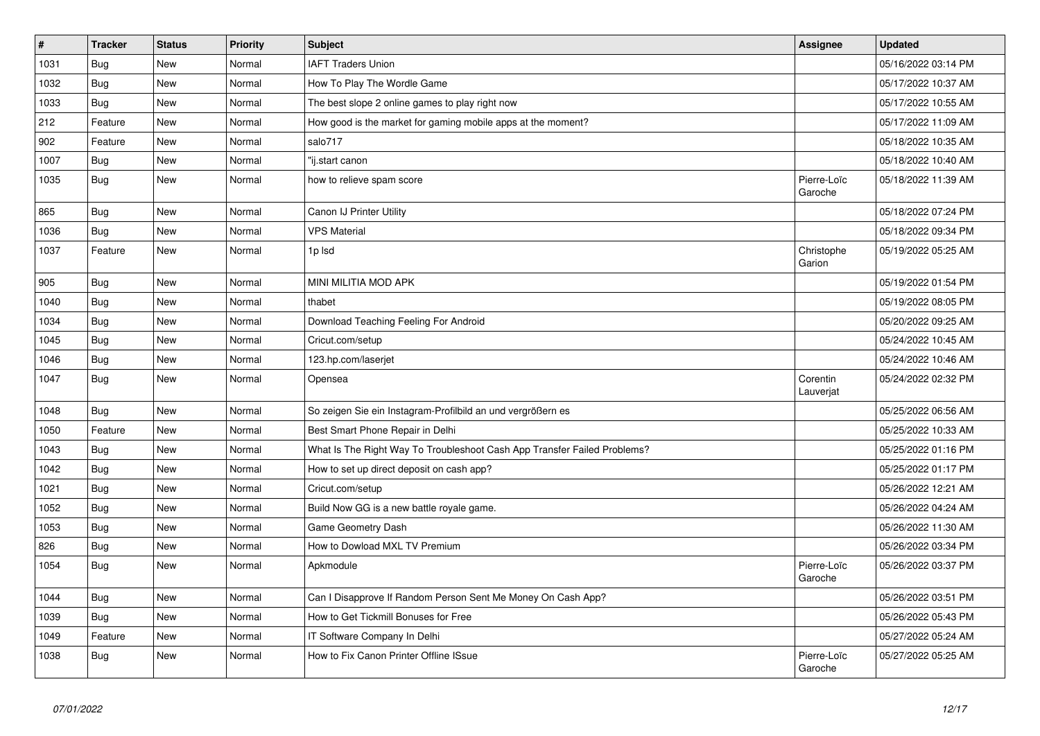| #    | <b>Tracker</b> | <b>Status</b> | Priority | <b>Subject</b>                                                           | <b>Assignee</b>        | <b>Updated</b>      |
|------|----------------|---------------|----------|--------------------------------------------------------------------------|------------------------|---------------------|
| 1031 | Bug            | <b>New</b>    | Normal   | <b>IAFT Traders Union</b>                                                |                        | 05/16/2022 03:14 PM |
| 1032 | Bug            | New           | Normal   | How To Play The Wordle Game                                              |                        | 05/17/2022 10:37 AM |
| 1033 | <b>Bug</b>     | <b>New</b>    | Normal   | The best slope 2 online games to play right now                          |                        | 05/17/2022 10:55 AM |
| 212  | Feature        | <b>New</b>    | Normal   | How good is the market for gaming mobile apps at the moment?             |                        | 05/17/2022 11:09 AM |
| 902  | Feature        | <b>New</b>    | Normal   | salo717                                                                  |                        | 05/18/2022 10:35 AM |
| 1007 | <b>Bug</b>     | New           | Normal   | "ij.start canon                                                          |                        | 05/18/2022 10:40 AM |
| 1035 | Bug            | New           | Normal   | how to relieve spam score                                                | Pierre-Loïc<br>Garoche | 05/18/2022 11:39 AM |
| 865  | Bug            | New           | Normal   | Canon IJ Printer Utility                                                 |                        | 05/18/2022 07:24 PM |
| 1036 | <b>Bug</b>     | New           | Normal   | <b>VPS Material</b>                                                      |                        | 05/18/2022 09:34 PM |
| 1037 | Feature        | <b>New</b>    | Normal   | 1p lsd                                                                   | Christophe<br>Garion   | 05/19/2022 05:25 AM |
| 905  | <b>Bug</b>     | New           | Normal   | MINI MILITIA MOD APK                                                     |                        | 05/19/2022 01:54 PM |
| 1040 | <b>Bug</b>     | New           | Normal   | thabet                                                                   |                        | 05/19/2022 08:05 PM |
| 1034 | Bug            | New           | Normal   | Download Teaching Feeling For Android                                    |                        | 05/20/2022 09:25 AM |
| 1045 | Bug            | New           | Normal   | Cricut.com/setup                                                         |                        | 05/24/2022 10:45 AM |
| 1046 | <b>Bug</b>     | New           | Normal   | 123.hp.com/laserjet                                                      |                        | 05/24/2022 10:46 AM |
| 1047 | <b>Bug</b>     | New           | Normal   | Opensea                                                                  | Corentin<br>Lauverjat  | 05/24/2022 02:32 PM |
| 1048 | Bug            | New           | Normal   | So zeigen Sie ein Instagram-Profilbild an und vergrößern es              |                        | 05/25/2022 06:56 AM |
| 1050 | Feature        | <b>New</b>    | Normal   | Best Smart Phone Repair in Delhi                                         |                        | 05/25/2022 10:33 AM |
| 1043 | <b>Bug</b>     | New           | Normal   | What Is The Right Way To Troubleshoot Cash App Transfer Failed Problems? |                        | 05/25/2022 01:16 PM |
| 1042 | Bug            | <b>New</b>    | Normal   | How to set up direct deposit on cash app?                                |                        | 05/25/2022 01:17 PM |
| 1021 | Bug            | New           | Normal   | Cricut.com/setup                                                         |                        | 05/26/2022 12:21 AM |
| 1052 | <b>Bug</b>     | New           | Normal   | Build Now GG is a new battle royale game.                                |                        | 05/26/2022 04:24 AM |
| 1053 | <b>Bug</b>     | New           | Normal   | Game Geometry Dash                                                       |                        | 05/26/2022 11:30 AM |
| 826  | Bug            | <b>New</b>    | Normal   | How to Dowload MXL TV Premium                                            |                        | 05/26/2022 03:34 PM |
| 1054 | <b>Bug</b>     | New           | Normal   | Apkmodule                                                                | Pierre-Loïc<br>Garoche | 05/26/2022 03:37 PM |
| 1044 | Bug            | <b>New</b>    | Normal   | Can I Disapprove If Random Person Sent Me Money On Cash App?             |                        | 05/26/2022 03:51 PM |
| 1039 | Bug            | New           | Normal   | How to Get Tickmill Bonuses for Free                                     |                        | 05/26/2022 05:43 PM |
| 1049 | Feature        | New           | Normal   | IT Software Company In Delhi                                             |                        | 05/27/2022 05:24 AM |
| 1038 | <b>Bug</b>     | <b>New</b>    | Normal   | How to Fix Canon Printer Offline ISsue                                   | Pierre-Loïc<br>Garoche | 05/27/2022 05:25 AM |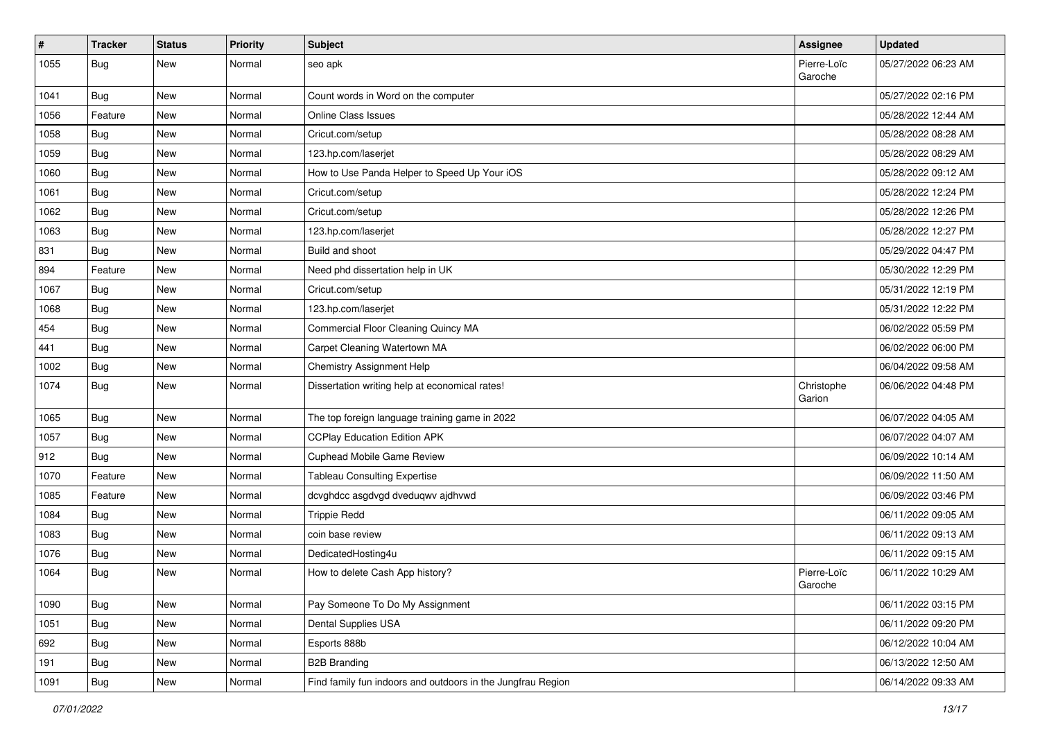| $\#$ | <b>Tracker</b> | <b>Status</b> | <b>Priority</b> | Subject                                                     | <b>Assignee</b>        | <b>Updated</b>      |
|------|----------------|---------------|-----------------|-------------------------------------------------------------|------------------------|---------------------|
| 1055 | Bug            | New           | Normal          | seo apk                                                     | Pierre-Loïc<br>Garoche | 05/27/2022 06:23 AM |
| 1041 | Bug            | New           | Normal          | Count words in Word on the computer                         |                        | 05/27/2022 02:16 PM |
| 1056 | Feature        | New           | Normal          | <b>Online Class Issues</b>                                  |                        | 05/28/2022 12:44 AM |
| 1058 | Bug            | New           | Normal          | Cricut.com/setup                                            |                        | 05/28/2022 08:28 AM |
| 1059 | <b>Bug</b>     | New           | Normal          | 123.hp.com/laserjet                                         |                        | 05/28/2022 08:29 AM |
| 1060 | <b>Bug</b>     | New           | Normal          | How to Use Panda Helper to Speed Up Your iOS                |                        | 05/28/2022 09:12 AM |
| 1061 | Bug            | New           | Normal          | Cricut.com/setup                                            |                        | 05/28/2022 12:24 PM |
| 1062 | <b>Bug</b>     | New           | Normal          | Cricut.com/setup                                            |                        | 05/28/2022 12:26 PM |
| 1063 | Bug            | New           | Normal          | 123.hp.com/laserjet                                         |                        | 05/28/2022 12:27 PM |
| 831  | <b>Bug</b>     | New           | Normal          | Build and shoot                                             |                        | 05/29/2022 04:47 PM |
| 894  | Feature        | New           | Normal          | Need phd dissertation help in UK                            |                        | 05/30/2022 12:29 PM |
| 1067 | <b>Bug</b>     | New           | Normal          | Cricut.com/setup                                            |                        | 05/31/2022 12:19 PM |
| 1068 | <b>Bug</b>     | New           | Normal          | 123.hp.com/laserjet                                         |                        | 05/31/2022 12:22 PM |
| 454  | Bug            | <b>New</b>    | Normal          | Commercial Floor Cleaning Quincy MA                         |                        | 06/02/2022 05:59 PM |
| 441  | <b>Bug</b>     | New           | Normal          | Carpet Cleaning Watertown MA                                |                        | 06/02/2022 06:00 PM |
| 1002 | <b>Bug</b>     | New           | Normal          | Chemistry Assignment Help                                   |                        | 06/04/2022 09:58 AM |
| 1074 | <b>Bug</b>     | New           | Normal          | Dissertation writing help at economical rates!              | Christophe<br>Garion   | 06/06/2022 04:48 PM |
| 1065 | Bug            | New           | Normal          | The top foreign language training game in 2022              |                        | 06/07/2022 04:05 AM |
| 1057 | Bug            | New           | Normal          | <b>CCPlay Education Edition APK</b>                         |                        | 06/07/2022 04:07 AM |
| 912  | Bug            | <b>New</b>    | Normal          | Cuphead Mobile Game Review                                  |                        | 06/09/2022 10:14 AM |
| 1070 | Feature        | <b>New</b>    | Normal          | <b>Tableau Consulting Expertise</b>                         |                        | 06/09/2022 11:50 AM |
| 1085 | Feature        | New           | Normal          | dcvghdcc asgdvgd dveduqwv ajdhvwd                           |                        | 06/09/2022 03:46 PM |
| 1084 | <b>Bug</b>     | New           | Normal          | <b>Trippie Redd</b>                                         |                        | 06/11/2022 09:05 AM |
| 1083 | Bug            | <b>New</b>    | Normal          | coin base review                                            |                        | 06/11/2022 09:13 AM |
| 1076 | <b>Bug</b>     | New           | Normal          | DedicatedHosting4u                                          |                        | 06/11/2022 09:15 AM |
| 1064 | <b>Bug</b>     | New           | Normal          | How to delete Cash App history?                             | Pierre-Loïc<br>Garoche | 06/11/2022 10:29 AM |
| 1090 | <b>Bug</b>     | New           | Normal          | Pay Someone To Do My Assignment                             |                        | 06/11/2022 03:15 PM |
| 1051 | <b>Bug</b>     | New           | Normal          | Dental Supplies USA                                         |                        | 06/11/2022 09:20 PM |
| 692  | Bug            | New           | Normal          | Esports 888b                                                |                        | 06/12/2022 10:04 AM |
| 191  | <b>Bug</b>     | New           | Normal          | <b>B2B Branding</b>                                         |                        | 06/13/2022 12:50 AM |
| 1091 | <b>Bug</b>     | New           | Normal          | Find family fun indoors and outdoors in the Jungfrau Region |                        | 06/14/2022 09:33 AM |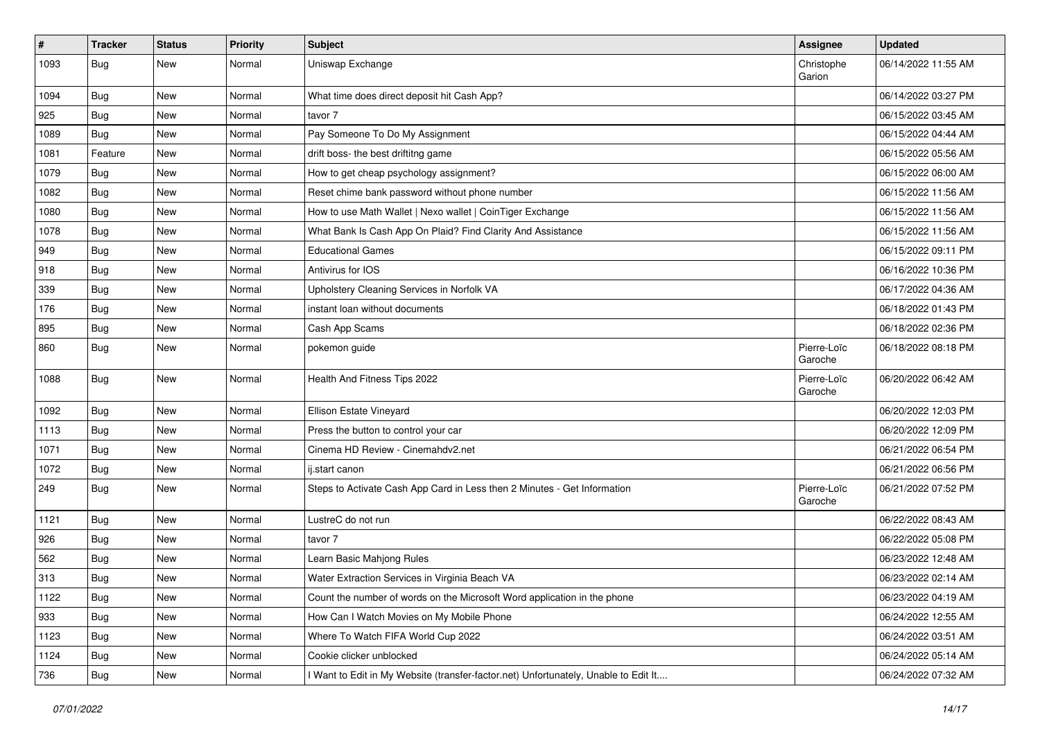| $\vert$ # | <b>Tracker</b> | <b>Status</b> | <b>Priority</b> | Subject                                                                             | <b>Assignee</b>        | <b>Updated</b>      |
|-----------|----------------|---------------|-----------------|-------------------------------------------------------------------------------------|------------------------|---------------------|
| 1093      | <b>Bug</b>     | New           | Normal          | Uniswap Exchange                                                                    | Christophe<br>Garion   | 06/14/2022 11:55 AM |
| 1094      | <b>Bug</b>     | New           | Normal          | What time does direct deposit hit Cash App?                                         |                        | 06/14/2022 03:27 PM |
| 925       | <b>Bug</b>     | New           | Normal          | tavor 7                                                                             |                        | 06/15/2022 03:45 AM |
| 1089      | Bug            | New           | Normal          | Pay Someone To Do My Assignment                                                     |                        | 06/15/2022 04:44 AM |
| 1081      | Feature        | New           | Normal          | drift boss- the best driftitng game                                                 |                        | 06/15/2022 05:56 AM |
| 1079      | Bug            | New           | Normal          | How to get cheap psychology assignment?                                             |                        | 06/15/2022 06:00 AM |
| 1082      | <b>Bug</b>     | New           | Normal          | Reset chime bank password without phone number                                      |                        | 06/15/2022 11:56 AM |
| 1080      | <b>Bug</b>     | New           | Normal          | How to use Math Wallet   Nexo wallet   CoinTiger Exchange                           |                        | 06/15/2022 11:56 AM |
| 1078      | Bug            | <b>New</b>    | Normal          | What Bank Is Cash App On Plaid? Find Clarity And Assistance                         |                        | 06/15/2022 11:56 AM |
| 949       | <b>Bug</b>     | New           | Normal          | <b>Educational Games</b>                                                            |                        | 06/15/2022 09:11 PM |
| 918       | <b>Bug</b>     | New           | Normal          | Antivirus for IOS                                                                   |                        | 06/16/2022 10:36 PM |
| 339       | <b>Bug</b>     | New           | Normal          | Upholstery Cleaning Services in Norfolk VA                                          |                        | 06/17/2022 04:36 AM |
| 176       | <b>Bug</b>     | New           | Normal          | instant loan without documents                                                      |                        | 06/18/2022 01:43 PM |
| 895       | <b>Bug</b>     | <b>New</b>    | Normal          | Cash App Scams                                                                      |                        | 06/18/2022 02:36 PM |
| 860       | <b>Bug</b>     | New           | Normal          | pokemon guide                                                                       | Pierre-Loïc<br>Garoche | 06/18/2022 08:18 PM |
| 1088      | <b>Bug</b>     | New           | Normal          | Health And Fitness Tips 2022                                                        | Pierre-Loïc<br>Garoche | 06/20/2022 06:42 AM |
| 1092      | <b>Bug</b>     | New           | Normal          | Ellison Estate Vineyard                                                             |                        | 06/20/2022 12:03 PM |
| 1113      | Bug            | New           | Normal          | Press the button to control your car                                                |                        | 06/20/2022 12:09 PM |
| 1071      | <b>Bug</b>     | New           | Normal          | Cinema HD Review - Cinemahdv2.net                                                   |                        | 06/21/2022 06:54 PM |
| 1072      | Bug            | <b>New</b>    | Normal          | ij.start canon                                                                      |                        | 06/21/2022 06:56 PM |
| 249       | <b>Bug</b>     | New           | Normal          | Steps to Activate Cash App Card in Less then 2 Minutes - Get Information            | Pierre-Loïc<br>Garoche | 06/21/2022 07:52 PM |
| 1121      | <b>Bug</b>     | New           | Normal          | LustreC do not run                                                                  |                        | 06/22/2022 08:43 AM |
| 926       | <b>Bug</b>     | New           | Normal          | tavor 7                                                                             |                        | 06/22/2022 05:08 PM |
| 562       | Bug            | New           | Normal          | Learn Basic Mahjong Rules                                                           |                        | 06/23/2022 12:48 AM |
| 313       | <b>Bug</b>     | New           | Normal          | Water Extraction Services in Virginia Beach VA                                      |                        | 06/23/2022 02:14 AM |
| 1122      | <b>Bug</b>     | New           | Normal          | Count the number of words on the Microsoft Word application in the phone            |                        | 06/23/2022 04:19 AM |
| 933       | Bug            | New           | Normal          | How Can I Watch Movies on My Mobile Phone                                           |                        | 06/24/2022 12:55 AM |
| 1123      | <b>Bug</b>     | New           | Normal          | Where To Watch FIFA World Cup 2022                                                  |                        | 06/24/2022 03:51 AM |
| 1124      | <b>Bug</b>     | New           | Normal          | Cookie clicker unblocked                                                            |                        | 06/24/2022 05:14 AM |
| 736       | <b>Bug</b>     | New           | Normal          | I Want to Edit in My Website (transfer-factor.net) Unfortunately, Unable to Edit It |                        | 06/24/2022 07:32 AM |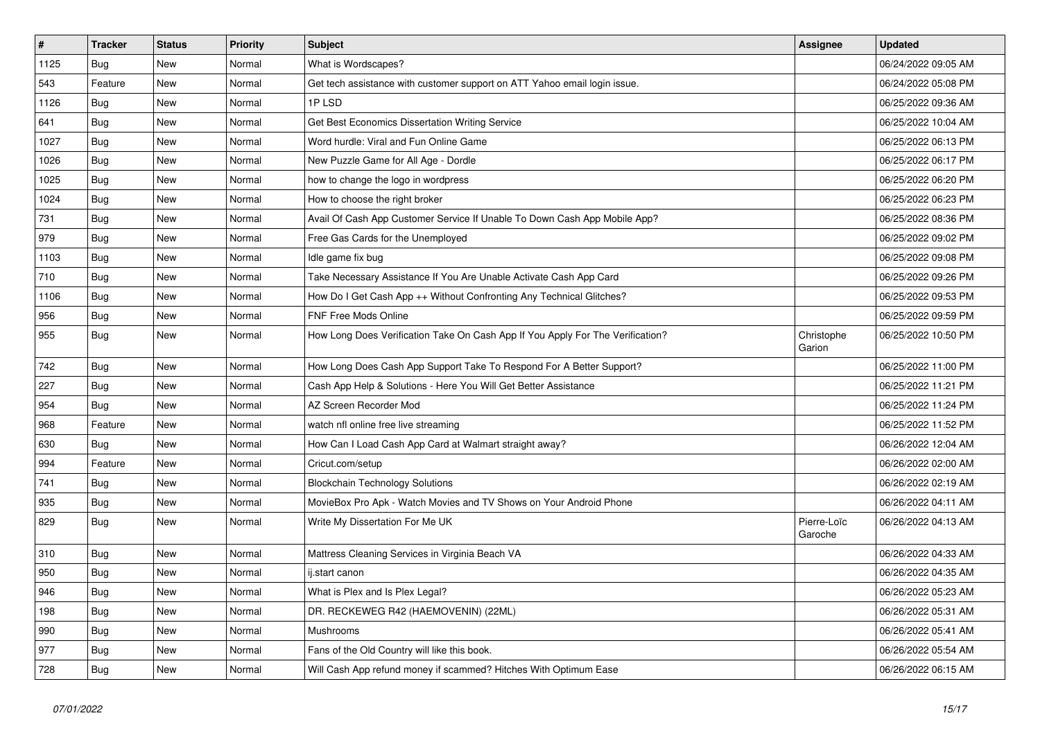| $\vert$ # | <b>Tracker</b> | <b>Status</b> | <b>Priority</b> | <b>Subject</b>                                                                 | <b>Assignee</b>        | <b>Updated</b>      |
|-----------|----------------|---------------|-----------------|--------------------------------------------------------------------------------|------------------------|---------------------|
| 1125      | <b>Bug</b>     | New           | Normal          | What is Wordscapes?                                                            |                        | 06/24/2022 09:05 AM |
| 543       | Feature        | New           | Normal          | Get tech assistance with customer support on ATT Yahoo email login issue.      |                        | 06/24/2022 05:08 PM |
| 1126      | Bug            | New           | Normal          | 1P LSD                                                                         |                        | 06/25/2022 09:36 AM |
| 641       | <b>Bug</b>     | New           | Normal          | Get Best Economics Dissertation Writing Service                                |                        | 06/25/2022 10:04 AM |
| 1027      | Bug            | New           | Normal          | Word hurdle: Viral and Fun Online Game                                         |                        | 06/25/2022 06:13 PM |
| 1026      | Bug            | New           | Normal          | New Puzzle Game for All Age - Dordle                                           |                        | 06/25/2022 06:17 PM |
| 1025      | Bug            | New           | Normal          | how to change the logo in wordpress                                            |                        | 06/25/2022 06:20 PM |
| 1024      | Bug            | New           | Normal          | How to choose the right broker                                                 |                        | 06/25/2022 06:23 PM |
| 731       | Bug            | New           | Normal          | Avail Of Cash App Customer Service If Unable To Down Cash App Mobile App?      |                        | 06/25/2022 08:36 PM |
| 979       | Bug            | <b>New</b>    | Normal          | Free Gas Cards for the Unemployed                                              |                        | 06/25/2022 09:02 PM |
| 1103      | <b>Bug</b>     | <b>New</b>    | Normal          | Idle game fix bug                                                              |                        | 06/25/2022 09:08 PM |
| 710       | Bug            | New           | Normal          | Take Necessary Assistance If You Are Unable Activate Cash App Card             |                        | 06/25/2022 09:26 PM |
| 1106      | Bug            | New           | Normal          | How Do I Get Cash App ++ Without Confronting Any Technical Glitches?           |                        | 06/25/2022 09:53 PM |
| 956       | Bug            | <b>New</b>    | Normal          | <b>FNF Free Mods Online</b>                                                    |                        | 06/25/2022 09:59 PM |
| 955       | Bug            | New           | Normal          | How Long Does Verification Take On Cash App If You Apply For The Verification? | Christophe<br>Garion   | 06/25/2022 10:50 PM |
| 742       | Bug            | <b>New</b>    | Normal          | How Long Does Cash App Support Take To Respond For A Better Support?           |                        | 06/25/2022 11:00 PM |
| 227       | Bug            | New           | Normal          | Cash App Help & Solutions - Here You Will Get Better Assistance                |                        | 06/25/2022 11:21 PM |
| 954       | Bug            | <b>New</b>    | Normal          | AZ Screen Recorder Mod                                                         |                        | 06/25/2022 11:24 PM |
| 968       | Feature        | New           | Normal          | watch nfl online free live streaming                                           |                        | 06/25/2022 11:52 PM |
| 630       | Bug            | New           | Normal          | How Can I Load Cash App Card at Walmart straight away?                         |                        | 06/26/2022 12:04 AM |
| 994       | Feature        | New           | Normal          | Cricut.com/setup                                                               |                        | 06/26/2022 02:00 AM |
| 741       | Bug            | New           | Normal          | <b>Blockchain Technology Solutions</b>                                         |                        | 06/26/2022 02:19 AM |
| 935       | <b>Bug</b>     | New           | Normal          | MovieBox Pro Apk - Watch Movies and TV Shows on Your Android Phone             |                        | 06/26/2022 04:11 AM |
| 829       | <b>Bug</b>     | <b>New</b>    | Normal          | Write My Dissertation For Me UK                                                | Pierre-Loïc<br>Garoche | 06/26/2022 04:13 AM |
| 310       | Bug            | <b>New</b>    | Normal          | Mattress Cleaning Services in Virginia Beach VA                                |                        | 06/26/2022 04:33 AM |
| 950       | <b>Bug</b>     | <b>New</b>    | Normal          | ij.start canon                                                                 |                        | 06/26/2022 04:35 AM |
| 946       | Bug            | <b>New</b>    | Normal          | What is Plex and Is Plex Legal?                                                |                        | 06/26/2022 05:23 AM |
| 198       | Bug            | <b>New</b>    | Normal          | DR. RECKEWEG R42 (HAEMOVENIN) (22ML)                                           |                        | 06/26/2022 05:31 AM |
| 990       | Bug            | <b>New</b>    | Normal          | Mushrooms                                                                      |                        | 06/26/2022 05:41 AM |
| 977       | Bug            | <b>New</b>    | Normal          | Fans of the Old Country will like this book.                                   |                        | 06/26/2022 05:54 AM |
| 728       | <b>Bug</b>     | <b>New</b>    | Normal          | Will Cash App refund money if scammed? Hitches With Optimum Ease               |                        | 06/26/2022 06:15 AM |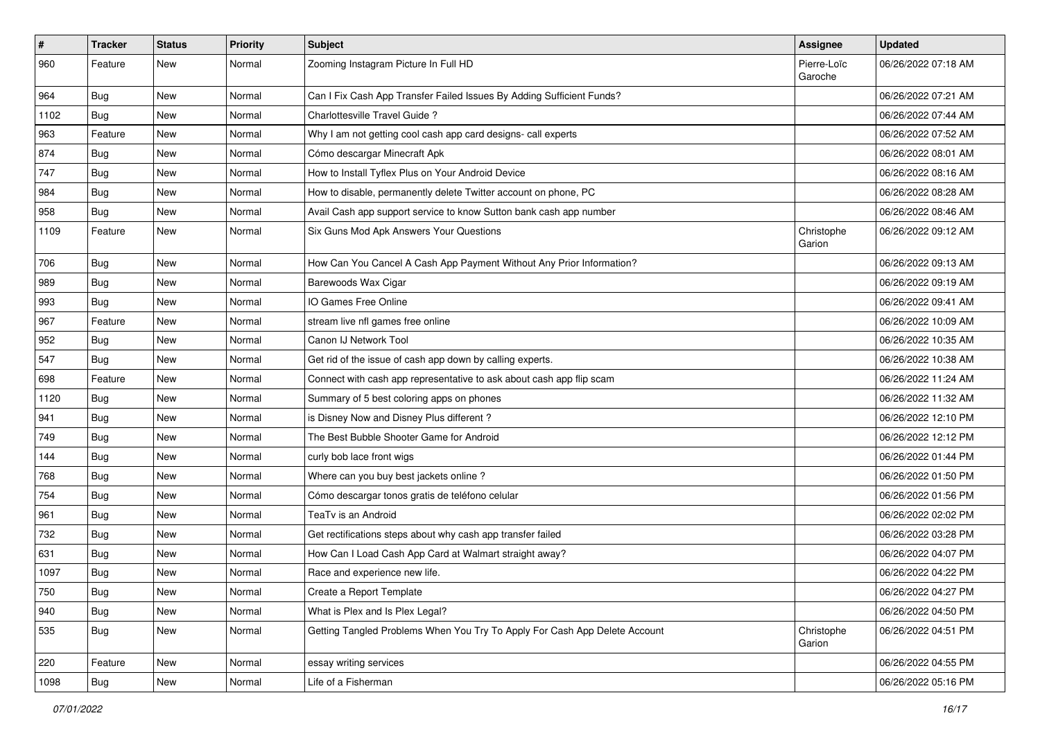| #    | <b>Tracker</b> | <b>Status</b> | <b>Priority</b> | Subject                                                                    | <b>Assignee</b>        | <b>Updated</b>      |
|------|----------------|---------------|-----------------|----------------------------------------------------------------------------|------------------------|---------------------|
| 960  | Feature        | New           | Normal          | Zooming Instagram Picture In Full HD                                       | Pierre-Loïc<br>Garoche | 06/26/2022 07:18 AM |
| 964  | <b>Bug</b>     | New           | Normal          | Can I Fix Cash App Transfer Failed Issues By Adding Sufficient Funds?      |                        | 06/26/2022 07:21 AM |
| 1102 | <b>Bug</b>     | New           | Normal          | Charlottesville Travel Guide ?                                             |                        | 06/26/2022 07:44 AM |
| 963  | Feature        | New           | Normal          | Why I am not getting cool cash app card designs- call experts              |                        | 06/26/2022 07:52 AM |
| 874  | <b>Bug</b>     | New           | Normal          | Cómo descargar Minecraft Apk                                               |                        | 06/26/2022 08:01 AM |
| 747  | <b>Bug</b>     | <b>New</b>    | Normal          | How to Install Tyflex Plus on Your Android Device                          |                        | 06/26/2022 08:16 AM |
| 984  | <b>Bug</b>     | New           | Normal          | How to disable, permanently delete Twitter account on phone, PC            |                        | 06/26/2022 08:28 AM |
| 958  | Bug            | New           | Normal          | Avail Cash app support service to know Sutton bank cash app number         |                        | 06/26/2022 08:46 AM |
| 1109 | Feature        | <b>New</b>    | Normal          | Six Guns Mod Apk Answers Your Questions                                    | Christophe<br>Garion   | 06/26/2022 09:12 AM |
| 706  | Bug            | New           | Normal          | How Can You Cancel A Cash App Payment Without Any Prior Information?       |                        | 06/26/2022 09:13 AM |
| 989  | <b>Bug</b>     | New           | Normal          | Barewoods Wax Cigar                                                        |                        | 06/26/2022 09:19 AM |
| 993  | <b>Bug</b>     | New           | Normal          | IO Games Free Online                                                       |                        | 06/26/2022 09:41 AM |
| 967  | Feature        | <b>New</b>    | Normal          | stream live nfl games free online                                          |                        | 06/26/2022 10:09 AM |
| 952  | <b>Bug</b>     | New           | Normal          | Canon IJ Network Tool                                                      |                        | 06/26/2022 10:35 AM |
| 547  | <b>Bug</b>     | New           | Normal          | Get rid of the issue of cash app down by calling experts.                  |                        | 06/26/2022 10:38 AM |
| 698  | Feature        | New           | Normal          | Connect with cash app representative to ask about cash app flip scam       |                        | 06/26/2022 11:24 AM |
| 1120 | <b>Bug</b>     | New           | Normal          | Summary of 5 best coloring apps on phones                                  |                        | 06/26/2022 11:32 AM |
| 941  | <b>Bug</b>     | New           | Normal          | is Disney Now and Disney Plus different?                                   |                        | 06/26/2022 12:10 PM |
| 749  | Bug            | New           | Normal          | The Best Bubble Shooter Game for Android                                   |                        | 06/26/2022 12:12 PM |
| 144  | Bug            | New           | Normal          | curly bob lace front wigs                                                  |                        | 06/26/2022 01:44 PM |
| 768  | <b>Bug</b>     | <b>New</b>    | Normal          | Where can you buy best jackets online?                                     |                        | 06/26/2022 01:50 PM |
| 754  | <b>Bug</b>     | New           | Normal          | Cómo descargar tonos gratis de teléfono celular                            |                        | 06/26/2022 01:56 PM |
| 961  | <b>Bug</b>     | New           | Normal          | TeaTv is an Android                                                        |                        | 06/26/2022 02:02 PM |
| 732  | Bug            | New           | Normal          | Get rectifications steps about why cash app transfer failed                |                        | 06/26/2022 03:28 PM |
| 631  | <b>Bug</b>     | New           | Normal          | How Can I Load Cash App Card at Walmart straight away?                     |                        | 06/26/2022 04:07 PM |
| 1097 | <b>Bug</b>     | <b>New</b>    | Normal          | Race and experience new life.                                              |                        | 06/26/2022 04:22 PM |
| 750  | <b>Bug</b>     | New           | Normal          | Create a Report Template                                                   |                        | 06/26/2022 04:27 PM |
| 940  | <b>Bug</b>     | New           | Normal          | What is Plex and Is Plex Legal?                                            |                        | 06/26/2022 04:50 PM |
| 535  | <b>Bug</b>     | New           | Normal          | Getting Tangled Problems When You Try To Apply For Cash App Delete Account | Christophe<br>Garion   | 06/26/2022 04:51 PM |
| 220  | Feature        | New           | Normal          | essay writing services                                                     |                        | 06/26/2022 04:55 PM |
| 1098 | Bug            | New           | Normal          | Life of a Fisherman                                                        |                        | 06/26/2022 05:16 PM |